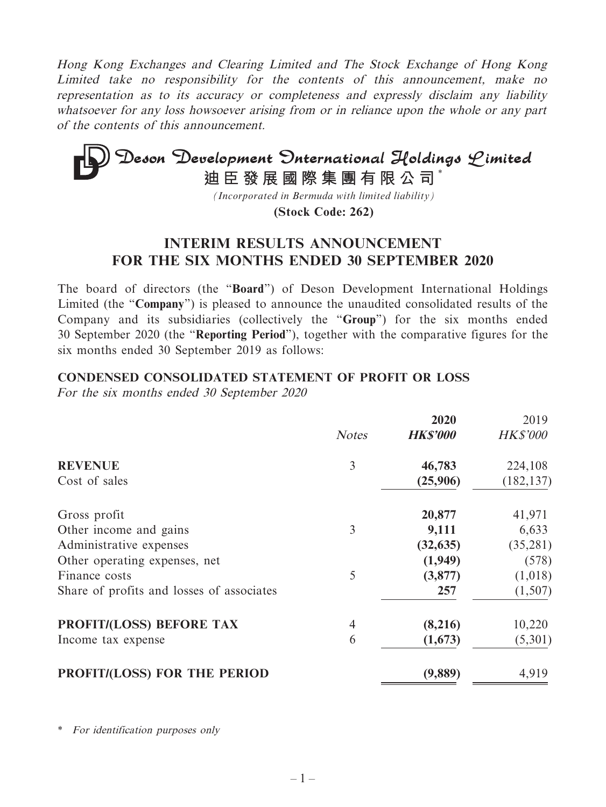Hong Kong Exchanges and Clearing Limited and The Stock Exchange of Hong Kong Limited take no responsibility for the contents of this announcement, make no representation as to its accuracy or completeness and expressly disclaim any liability whatsoever for any loss howsoever arising from or in reliance upon the whole or any part of the contents of this announcement.

# **Deson Development Onternational Holdings Limited**<br>迪臣發展國際集團有限公司<sup>\*</sup>

*(Incorporated in Bermuda with limited liability)*

**(Stock Code: 262)**

# **INTERIM RESULTS ANNOUNCEMENT FOR THE SIX MONTHS ENDED 30 SEPTEMBER 2020**

The board of directors (the "**Board**") of Deson Development International Holdings Limited (the "**Company**") is pleased to announce the unaudited consolidated results of the Company and its subsidiaries (collectively the "**Group**") for the six months ended 30 September 2020 (the "**Reporting Period**"), together with the comparative figures for the six months ended 30 September 2019 as follows:

## **CONDENSED CONSOLIDATED STATEMENT OF PROFIT OR LOSS**

For the six months ended 30 September 2020

|                                           |                | 2020            | 2019            |
|-------------------------------------------|----------------|-----------------|-----------------|
|                                           | <b>Notes</b>   | <b>HK\$'000</b> | <b>HK\$'000</b> |
| <b>REVENUE</b>                            | 3              | 46,783          | 224,108         |
| Cost of sales                             |                | (25,906)        | (182, 137)      |
| Gross profit                              |                | 20,877          | 41,971          |
| Other income and gains                    | 3              | 9,111           | 6,633           |
| Administrative expenses                   |                | (32, 635)       | (35,281)        |
| Other operating expenses, net             |                | (1,949)         | (578)           |
| Finance costs                             | 5              | (3,877)         | (1,018)         |
| Share of profits and losses of associates |                | 257             | (1,507)         |
| <b>PROFIT/(LOSS) BEFORE TAX</b>           | $\overline{4}$ | (8,216)         | 10,220          |
| Income tax expense                        | 6              | (1,673)         | (5,301)         |
| PROFIT/(LOSS) FOR THE PERIOD              |                | (9,889)         | 4,919           |

\* For identification purposes only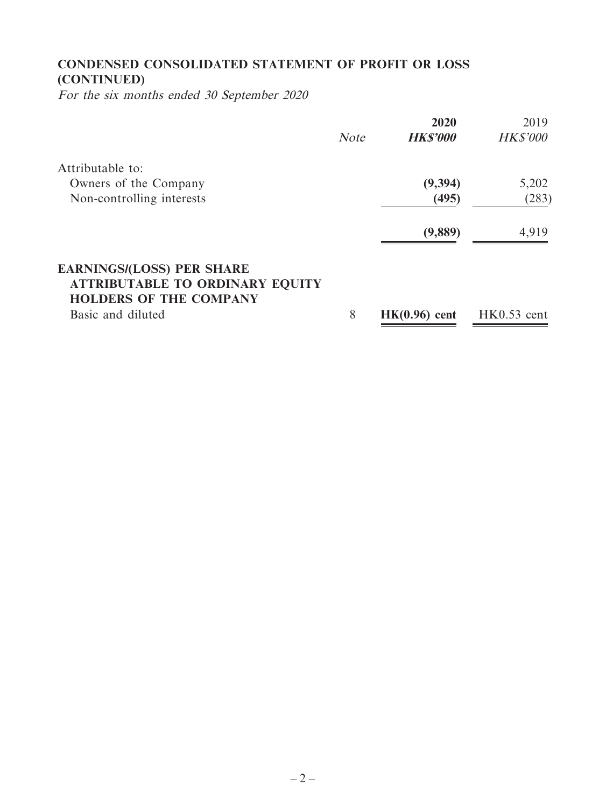# **CONDENSED CONSOLIDATED STATEMENT OF PROFIT OR LOSS (CONTINUED)**

For the six months ended 30 September 2020

|                                        |             | 2020            | 2019            |
|----------------------------------------|-------------|-----------------|-----------------|
|                                        | <b>Note</b> | <b>HK\$'000</b> | <b>HK\$'000</b> |
| Attributable to:                       |             |                 |                 |
| Owners of the Company                  |             | (9, 394)        | 5,202           |
| Non-controlling interests              |             | (495)           | (283)           |
|                                        |             | (9,889)         | 4,919           |
| <b>EARNINGS/(LOSS) PER SHARE</b>       |             |                 |                 |
| <b>ATTRIBUTABLE TO ORDINARY EQUITY</b> |             |                 |                 |
| <b>HOLDERS OF THE COMPANY</b>          |             |                 |                 |
| Basic and diluted                      | 8           | $HK(0.96)$ cent | $HK0.53$ cent   |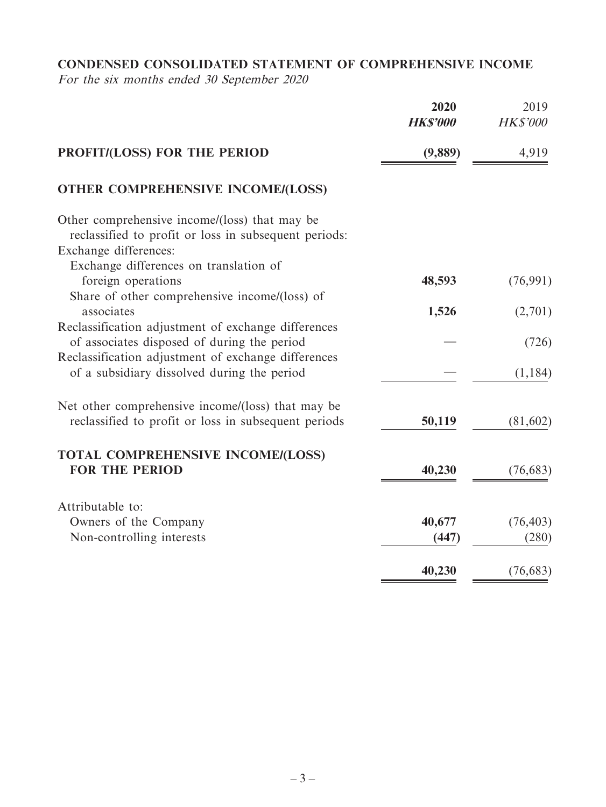# **CONDENSED CONSOLIDATED STATEMENT OF COMPREHENSIVE INCOME**

For the six months ended 30 September 2020

|                                                                                                        | 2020<br><b>HK\$'000</b> | 2019<br><b>HK\$'000</b> |
|--------------------------------------------------------------------------------------------------------|-------------------------|-------------------------|
| PROFIT/(LOSS) FOR THE PERIOD                                                                           | (9,889)                 | 4,919                   |
| <b>OTHER COMPREHENSIVE INCOME/(LOSS)</b>                                                               |                         |                         |
| Other comprehensive income/(loss) that may be<br>reclassified to profit or loss in subsequent periods: |                         |                         |
| Exchange differences:                                                                                  |                         |                         |
| Exchange differences on translation of                                                                 |                         |                         |
| foreign operations                                                                                     | 48,593                  | (76, 991)               |
| Share of other comprehensive income/(loss) of                                                          |                         |                         |
| associates                                                                                             | 1,526                   | (2,701)                 |
| Reclassification adjustment of exchange differences                                                    |                         |                         |
| of associates disposed of during the period                                                            |                         | (726)                   |
| Reclassification adjustment of exchange differences<br>of a subsidiary dissolved during the period     |                         | (1, 184)                |
| Net other comprehensive income/(loss) that may be                                                      |                         |                         |
| reclassified to profit or loss in subsequent periods                                                   | 50,119                  | (81, 602)               |
| <b>TOTAL COMPREHENSIVE INCOME/(LOSS)</b>                                                               |                         |                         |
| <b>FOR THE PERIOD</b>                                                                                  | 40,230                  | (76, 683)               |
| Attributable to:                                                                                       |                         |                         |
| Owners of the Company                                                                                  | 40,677                  | (76, 403)               |
| Non-controlling interests                                                                              | (447)                   | (280)                   |
|                                                                                                        | 40,230                  | (76, 683)               |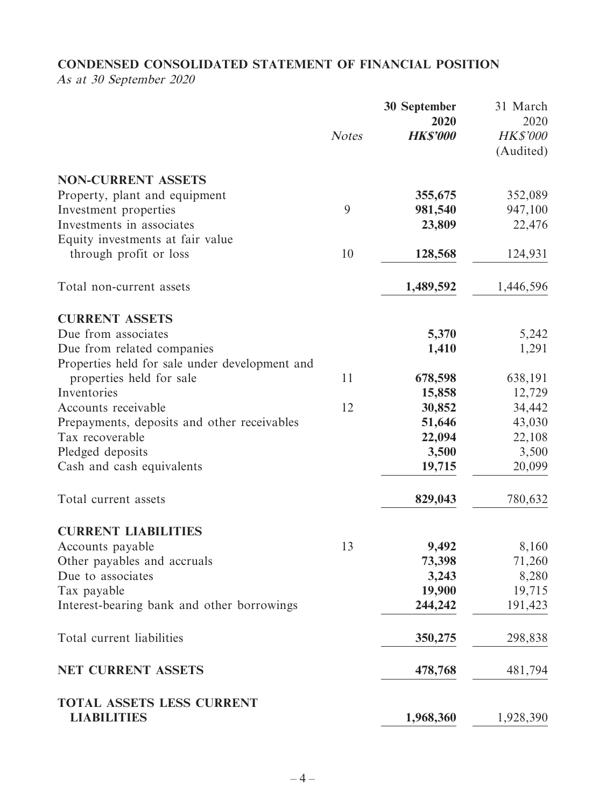# **CONDENSED CONSOLIDATED STATEMENT OF FINANCIAL POSITION**

As at 30 September 2020

|                                                        |              | <b>30 September</b><br>2020 | 31 March<br>2020             |
|--------------------------------------------------------|--------------|-----------------------------|------------------------------|
|                                                        | <b>Notes</b> | <b>HK\$'000</b>             | <b>HK\$'000</b><br>(Audited) |
| <b>NON-CURRENT ASSETS</b>                              |              |                             |                              |
| Property, plant and equipment                          |              | 355,675                     | 352,089                      |
| Investment properties                                  | 9            | 981,540                     | 947,100                      |
| Investments in associates                              |              | 23,809                      | 22,476                       |
| Equity investments at fair value                       |              |                             |                              |
| through profit or loss                                 | 10           | 128,568                     | 124,931                      |
| Total non-current assets                               |              | 1,489,592                   | 1,446,596                    |
| <b>CURRENT ASSETS</b>                                  |              |                             |                              |
| Due from associates                                    |              | 5,370                       | 5,242                        |
| Due from related companies                             |              | 1,410                       | 1,291                        |
| Properties held for sale under development and         |              |                             |                              |
| properties held for sale                               | 11           | 678,598                     | 638,191                      |
| Inventories                                            |              | 15,858                      | 12,729                       |
| Accounts receivable                                    | 12           | 30,852                      | 34,442                       |
| Prepayments, deposits and other receivables            |              | 51,646                      | 43,030                       |
| Tax recoverable                                        |              | 22,094                      | 22,108                       |
| Pledged deposits                                       |              | 3,500                       | 3,500                        |
| Cash and cash equivalents                              |              | 19,715                      | 20,099                       |
| Total current assets                                   |              | 829,043                     | 780,632                      |
| <b>CURRENT LIABILITIES</b>                             |              |                             |                              |
| Accounts payable                                       | 13           | 9,492                       | 8,160                        |
| Other payables and accruals                            |              | 73,398                      | 71,260                       |
| Due to associates                                      |              | 3,243                       | 8,280                        |
| Tax payable                                            |              | 19,900                      | 19,715                       |
| Interest-bearing bank and other borrowings             |              | 244,242                     | 191,423                      |
| Total current liabilities                              |              | 350,275                     | 298,838                      |
| NET CURRENT ASSETS                                     |              | 478,768                     | 481,794                      |
| <b>TOTAL ASSETS LESS CURRENT</b><br><b>LIABILITIES</b> |              | 1,968,360                   | 1,928,390                    |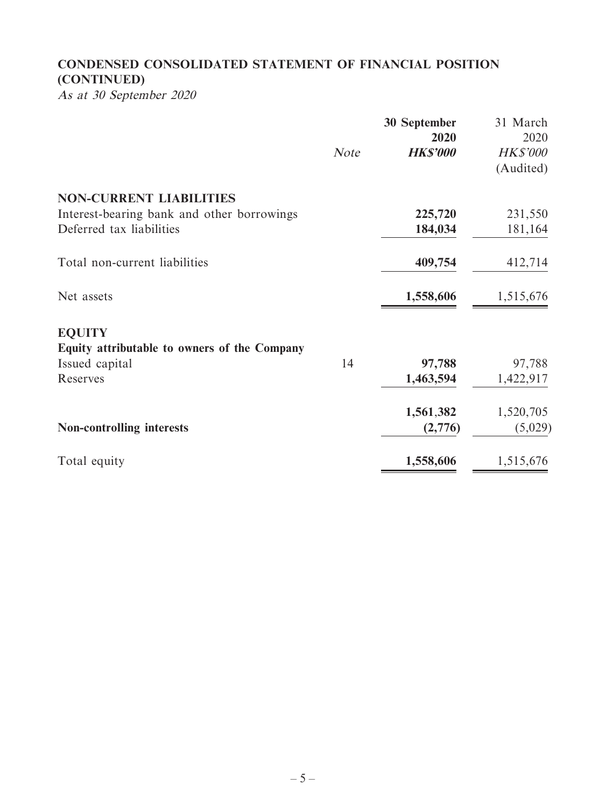# **CONDENSED CONSOLIDATED STATEMENT OF FINANCIAL POSITION (CONTINUED)**

As at 30 September 2020

|                                              | <b>Note</b> | <b>30 September</b><br>2020<br><b>HK\$'000</b> | 31 March<br>2020<br><b>HK\$'000</b> |
|----------------------------------------------|-------------|------------------------------------------------|-------------------------------------|
|                                              |             |                                                | (Audited)                           |
| <b>NON-CURRENT LIABILITIES</b>               |             |                                                |                                     |
| Interest-bearing bank and other borrowings   |             | 225,720                                        | 231,550                             |
| Deferred tax liabilities                     |             | 184,034                                        | 181,164                             |
| Total non-current liabilities                |             | 409,754                                        | 412,714                             |
| Net assets                                   |             | 1,558,606                                      | 1,515,676                           |
| <b>EQUITY</b>                                |             |                                                |                                     |
| Equity attributable to owners of the Company |             |                                                |                                     |
| Issued capital                               | 14          | 97,788                                         | 97,788                              |
| Reserves                                     |             | 1,463,594                                      | 1,422,917                           |
|                                              |             | 1,561,382                                      | 1,520,705                           |
| <b>Non-controlling interests</b>             |             | (2,776)                                        | (5,029)                             |
| Total equity                                 |             | 1,558,606                                      | 1,515,676                           |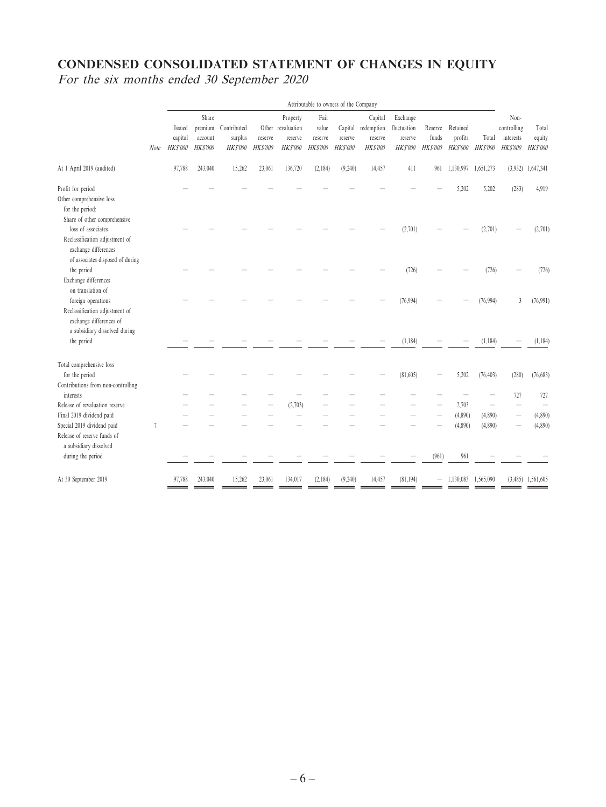# **CONDENSED CONSOLIDATED STATEMENT OF CHANGES IN EQUITY** For the six months ended 30 September 2020

|                                                                                                                  |                | Attributable to owners of the Company |                                               |                                    |                           |                                                      |                                             |                                      |                                                     |                                                       |                                     |                                        |                          |                                                     |                                    |
|------------------------------------------------------------------------------------------------------------------|----------------|---------------------------------------|-----------------------------------------------|------------------------------------|---------------------------|------------------------------------------------------|---------------------------------------------|--------------------------------------|-----------------------------------------------------|-------------------------------------------------------|-------------------------------------|----------------------------------------|--------------------------|-----------------------------------------------------|------------------------------------|
|                                                                                                                  | Note           | Issued<br>capital<br><b>HKS'000</b>   | Share<br>premium<br>account<br><b>HKS'000</b> | Contributed<br>surplus<br>HK\$'000 | reserve<br><b>HKS'000</b> | Property<br>Other revaluation<br>reserve<br>HK\$'000 | Fair<br>value<br>reserve<br><b>HK\$'000</b> | Capital<br>reserve<br><b>HKS'000</b> | Capital<br>redemption<br>reserve<br><b>HK\$'000</b> | Exchange<br>fluctuation<br>reserve<br><b>HK\$'000</b> | Reserve<br>funds<br><b>HK\$'000</b> | Retained<br>profits<br><b>HK\$'000</b> | Total<br><b>HK\$'000</b> | Non-<br>controlling<br>interests<br><b>HK\$'000</b> | Total<br>equity<br><b>HK\$'000</b> |
| At 1 April 2019 (audited)                                                                                        |                | 97,788                                | 243,040                                       | 15,262                             | 23,061                    | 136,720                                              | (2,184)                                     | (9,240)                              | 14,457                                              | 411                                                   | 961                                 | 1,130,997                              | 1,651,273                |                                                     | $(3,932)$ 1,647,341                |
| Profit for period<br>Other comprehensive loss<br>for the period:<br>Share of other comprehensive                 |                |                                       |                                               |                                    |                           |                                                      |                                             |                                      |                                                     |                                                       |                                     | 5,202                                  | 5,202                    | (283)                                               | 4,919                              |
| loss of associates<br>Reclassification adjustment of<br>exchange differences<br>of associates disposed of during |                |                                       |                                               |                                    |                           |                                                      |                                             |                                      |                                                     | (2,701)                                               |                                     |                                        | (2,701)                  |                                                     | (2,701)                            |
| the period<br>Exchange differences                                                                               |                |                                       |                                               |                                    |                           |                                                      |                                             |                                      |                                                     | (726)                                                 |                                     |                                        | (726)                    |                                                     | (726)                              |
| on translation of<br>foreign operations<br>Reclassification adjustment of<br>exchange differences of             |                |                                       |                                               |                                    |                           |                                                      |                                             |                                      |                                                     | (76,994)                                              |                                     |                                        | (76,994)                 | 3                                                   | (76,991)                           |
| a subsidiary dissolved during<br>the period                                                                      |                |                                       |                                               |                                    |                           |                                                      |                                             |                                      |                                                     | (1, 184)                                              |                                     |                                        | (1, 184)                 |                                                     | (1, 184)                           |
| Total comprehensive loss<br>for the period<br>Contributions from non-controlling                                 |                |                                       |                                               |                                    |                           |                                                      |                                             |                                      |                                                     | (81,605)                                              |                                     | 5,202                                  | (76, 403)                | (280)                                               | (76,683)                           |
| interests                                                                                                        |                |                                       |                                               |                                    |                           |                                                      |                                             |                                      |                                                     |                                                       |                                     |                                        |                          | 727                                                 | 727                                |
| Release of revaluation reserve                                                                                   |                |                                       |                                               |                                    |                           | (2,703)                                              |                                             |                                      |                                                     |                                                       |                                     | 2,703                                  |                          |                                                     |                                    |
| Final 2019 dividend paid                                                                                         |                |                                       |                                               |                                    |                           |                                                      |                                             |                                      |                                                     |                                                       |                                     | (4,890)                                | (4,890)                  | $\qquad \qquad -$                                   | (4,890)                            |
| Special 2019 dividend paid                                                                                       | $\overline{7}$ |                                       |                                               |                                    |                           |                                                      |                                             |                                      |                                                     |                                                       |                                     | (4,890)                                | (4,890)                  |                                                     | (4,890)                            |
| Release of reserve funds of<br>a subsidiary dissolved                                                            |                |                                       |                                               |                                    |                           |                                                      |                                             |                                      |                                                     |                                                       |                                     |                                        |                          |                                                     |                                    |
| during the period                                                                                                |                |                                       |                                               |                                    |                           |                                                      |                                             |                                      |                                                     |                                                       | (961)                               | 961                                    |                          |                                                     |                                    |
| At 30 September 2019                                                                                             |                | 97,788                                | 243,040                                       | 15,262                             | 23,061                    | 134,017                                              | (2,184)                                     | (9,240)                              | 14,457                                              | (81, 194)                                             |                                     | 1,130,083                              | 1,565,090                |                                                     | $(3,485)$ 1,561,605                |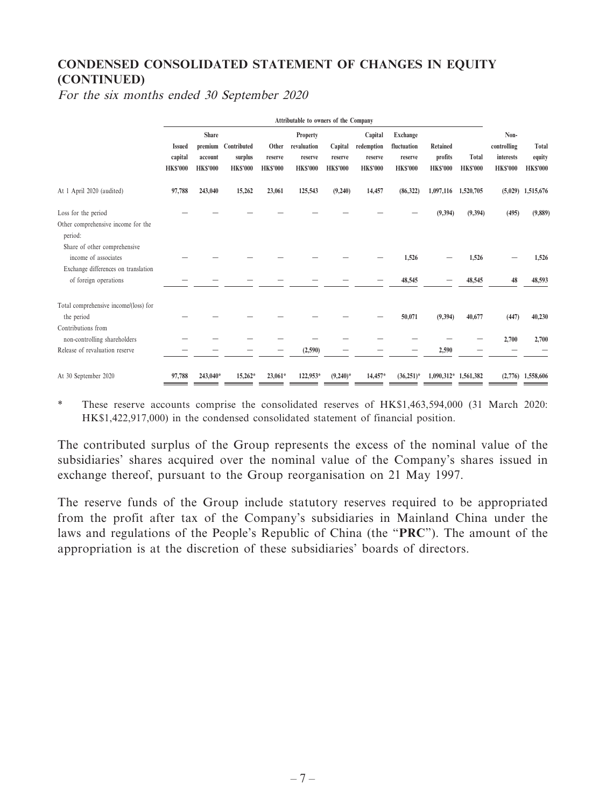# **CONDENSED CONSOLIDATED STATEMENT OF CHANGES IN EQUITY (CONTINUED)**

For the six months ended 30 September 2020

|                                                                                             | Attributable to owners of the Company       |                                            |                                                   |                                     |                                                             |                                      |                                                    |                                                       |                                               |                          |                                                     |                                    |
|---------------------------------------------------------------------------------------------|---------------------------------------------|--------------------------------------------|---------------------------------------------------|-------------------------------------|-------------------------------------------------------------|--------------------------------------|----------------------------------------------------|-------------------------------------------------------|-----------------------------------------------|--------------------------|-----------------------------------------------------|------------------------------------|
|                                                                                             | <b>Issued</b><br>capital<br><b>HK\$'000</b> | <b>Share</b><br>account<br><b>HK\$'000</b> | premium Contributed<br>surplus<br><b>HK\$'000</b> | Other<br>reserve<br><b>HK\$'000</b> | <b>Property</b><br>revaluation<br>reserve<br><b>HKS'000</b> | Capital<br>reserve<br><b>HKS'000</b> | Capital<br>redemption<br>reserve<br><b>HKS'000</b> | Exchange<br>fluctuation<br>reserve<br><b>HK\$'000</b> | <b>Retained</b><br>profits<br><b>HK\$'000</b> | Total<br><b>HK\$'000</b> | Non-<br>controlling<br>interests<br><b>HK\$'000</b> | Total<br>equity<br><b>HK\$'000</b> |
| At 1 April 2020 (audited)                                                                   | 97,788                                      | 243,040                                    | 15,262                                            | 23,061                              | 125,543                                                     | (9,240)                              | 14,457                                             | (86,322)                                              | 1,097,116                                     | 1,520,705                |                                                     | $(5,029)$ 1,515,676                |
| Loss for the period<br>Other comprehensive income for the<br>period:                        |                                             |                                            |                                                   |                                     |                                                             |                                      |                                                    |                                                       | (9, 394)                                      | (9,394)                  | (495)                                               | (9,889)                            |
| Share of other comprehensive<br>income of associates<br>Exchange differences on translation |                                             |                                            |                                                   |                                     |                                                             |                                      |                                                    | 1,526                                                 |                                               | 1,526                    |                                                     | 1,526                              |
| of foreign operations                                                                       |                                             |                                            |                                                   |                                     |                                                             |                                      |                                                    | 48,545                                                |                                               | 48,545                   | 48                                                  | 48,593                             |
| Total comprehensive income/(loss) for<br>the period<br>Contributions from                   |                                             |                                            |                                                   |                                     |                                                             |                                      |                                                    | 50,071                                                | (9, 394)                                      | 40,677                   | (447)                                               | 40,230                             |
| non-controlling shareholders<br>Release of revaluation reserve                              |                                             |                                            |                                                   |                                     | (2,590)                                                     |                                      |                                                    |                                                       | 2,590                                         |                          | 2,700                                               | 2,700                              |
| At 30 September 2020                                                                        | 97,788                                      | 243,040*                                   | $15,262*$                                         | $23,061*$                           | 122,953*                                                    | $(9,240)$ *                          | 14,457*                                            | $(36,251)$ *                                          | 1,090,312* 1,561,382                          |                          |                                                     | $(2,776)$ 1,558,606                |

\* These reserve accounts comprise the consolidated reserves of HK\$1,463,594,000 (31 March 2020: HK\$1,422,917,000) in the condensed consolidated statement of financial position.

The contributed surplus of the Group represents the excess of the nominal value of the subsidiaries' shares acquired over the nominal value of the Company's shares issued in exchange thereof, pursuant to the Group reorganisation on 21 May 1997.

The reserve funds of the Group include statutory reserves required to be appropriated from the profit after tax of the Company's subsidiaries in Mainland China under the laws and regulations of the People's Republic of China (the "**PRC**"). The amount of the appropriation is at the discretion of these subsidiaries' boards of directors.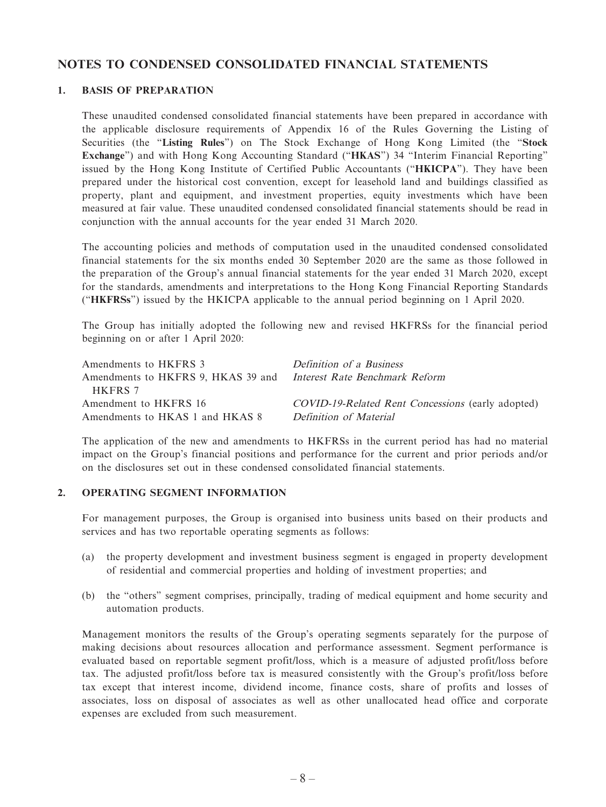## **NOTES TO CONDENSED CONSOLIDATED FINANCIAL STATEMENTS**

#### **1. BASIS OF PREPARATION**

These unaudited condensed consolidated financial statements have been prepared in accordance with the applicable disclosure requirements of Appendix 16 of the Rules Governing the Listing of Securities (the "**Listing Rules**") on The Stock Exchange of Hong Kong Limited (the "**Stock Exchange**") and with Hong Kong Accounting Standard ("**HKAS**") 34 "Interim Financial Reporting" issued by the Hong Kong Institute of Certified Public Accountants ("**HKICPA**"). They have been prepared under the historical cost convention, except for leasehold land and buildings classified as property, plant and equipment, and investment properties, equity investments which have been measured at fair value. These unaudited condensed consolidated financial statements should be read in conjunction with the annual accounts for the year ended 31 March 2020.

The accounting policies and methods of computation used in the unaudited condensed consolidated financial statements for the six months ended 30 September 2020 are the same as those followed in the preparation of the Group's annual financial statements for the year ended 31 March 2020, except for the standards, amendments and interpretations to the Hong Kong Financial Reporting Standards ("**HKFRSs**") issued by the HKICPA applicable to the annual period beginning on 1 April 2020.

The Group has initially adopted the following new and revised HKFRSs for the financial period beginning on or after 1 April 2020:

| Amendments to HKFRS 3                                                    | Definition of a Business                          |
|--------------------------------------------------------------------------|---------------------------------------------------|
| Amendments to HKFRS 9, HKAS 39 and <i>Interest Rate Benchmark Reform</i> |                                                   |
| HKFRS 7                                                                  |                                                   |
| Amendment to HKFRS 16                                                    | COVID-19-Related Rent Concessions (early adopted) |
| Amendments to HKAS 1 and HKAS 8                                          | Definition of Material                            |

The application of the new and amendments to HKFRSs in the current period has had no material impact on the Group's financial positions and performance for the current and prior periods and/or on the disclosures set out in these condensed consolidated financial statements.

### **2. OPERATING SEGMENT INFORMATION**

For management purposes, the Group is organised into business units based on their products and services and has two reportable operating segments as follows:

- (a) the property development and investment business segment is engaged in property development of residential and commercial properties and holding of investment properties; and
- (b) the "others" segment comprises, principally, trading of medical equipment and home security and automation products.

Management monitors the results of the Group's operating segments separately for the purpose of making decisions about resources allocation and performance assessment. Segment performance is evaluated based on reportable segment profit/loss, which is a measure of adjusted profit/loss before tax. The adjusted profit/loss before tax is measured consistently with the Group's profit/loss before tax except that interest income, dividend income, finance costs, share of profits and losses of associates, loss on disposal of associates as well as other unallocated head office and corporate expenses are excluded from such measurement.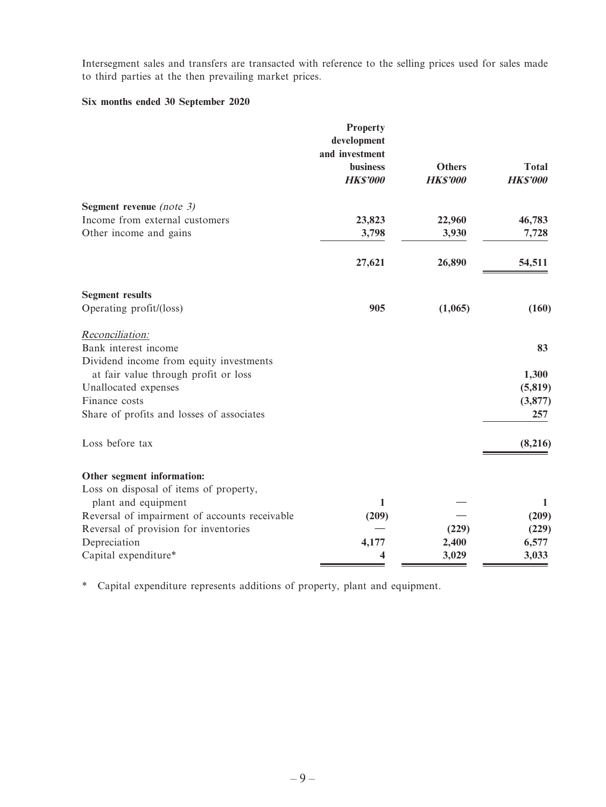Intersegment sales and transfers are transacted with reference to the selling prices used for sales made to third parties at the then prevailing market prices.

## **Six months ended 30 September 2020**

|                                               | <b>Property</b><br>development<br>and investment<br>business | <b>Others</b>  | <b>Total</b>    |
|-----------------------------------------------|--------------------------------------------------------------|----------------|-----------------|
|                                               | <b>HK\$'000</b>                                              | <b>HKS'000</b> | <b>HK\$'000</b> |
| Segment revenue (note $3$ )                   |                                                              |                |                 |
| Income from external customers                | 23,823                                                       | 22,960         | 46,783          |
| Other income and gains                        | 3,798                                                        | 3,930          | 7,728           |
|                                               | 27,621                                                       | 26,890         | 54,511          |
| <b>Segment results</b>                        |                                                              |                |                 |
| Operating profit/(loss)                       | 905                                                          | (1,065)        | (160)           |
| Reconciliation:                               |                                                              |                |                 |
| Bank interest income                          |                                                              |                | 83              |
| Dividend income from equity investments       |                                                              |                |                 |
| at fair value through profit or loss          |                                                              |                | 1,300           |
| Unallocated expenses                          |                                                              |                | (5, 819)        |
| Finance costs                                 |                                                              |                | (3,877)         |
| Share of profits and losses of associates     |                                                              |                | 257             |
| Loss before tax                               |                                                              |                | (8,216)         |
| Other segment information:                    |                                                              |                |                 |
| Loss on disposal of items of property,        |                                                              |                |                 |
| plant and equipment                           | 1                                                            |                | 1               |
| Reversal of impairment of accounts receivable | (209)                                                        |                | (209)           |
| Reversal of provision for inventories         |                                                              | (229)          | (229)           |
| Depreciation                                  | 4,177                                                        | 2,400          | 6,577           |
| Capital expenditure*                          | 4                                                            | 3,029          | 3,033           |

\* Capital expenditure represents additions of property, plant and equipment.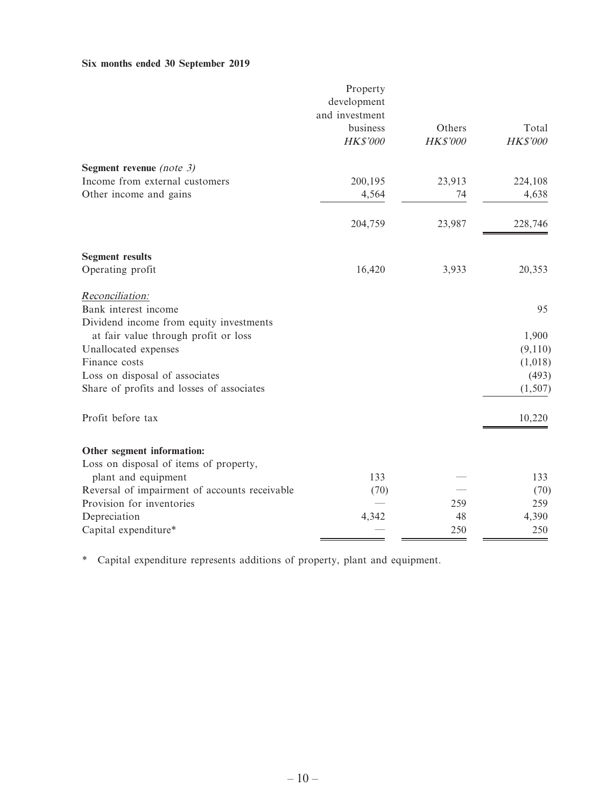# **Six months ended 30 September 2019**

|                                               | Property<br>development<br>and investment<br>business<br>HK\$'000 | Others<br><b>HK\$'000</b> | Total<br>HK\$'000 |
|-----------------------------------------------|-------------------------------------------------------------------|---------------------------|-------------------|
|                                               |                                                                   |                           |                   |
| Segment revenue (note $3$ )                   |                                                                   |                           |                   |
| Income from external customers                | 200,195                                                           | 23,913                    | 224,108           |
| Other income and gains                        | 4,564                                                             | 74                        | 4,638             |
|                                               | 204,759                                                           | 23,987                    | 228,746           |
| <b>Segment results</b>                        |                                                                   |                           |                   |
| Operating profit                              | 16,420                                                            | 3,933                     | 20,353            |
| Reconciliation:                               |                                                                   |                           |                   |
| Bank interest income                          |                                                                   |                           | 95                |
| Dividend income from equity investments       |                                                                   |                           |                   |
| at fair value through profit or loss          |                                                                   |                           | 1,900             |
| Unallocated expenses                          |                                                                   |                           | (9,110)           |
| Finance costs                                 |                                                                   |                           | (1,018)           |
| Loss on disposal of associates                |                                                                   |                           | (493)             |
| Share of profits and losses of associates     |                                                                   |                           | (1, 507)          |
| Profit before tax                             |                                                                   |                           | 10,220            |
| Other segment information:                    |                                                                   |                           |                   |
| Loss on disposal of items of property,        |                                                                   |                           |                   |
| plant and equipment                           | 133                                                               |                           | 133               |
| Reversal of impairment of accounts receivable | (70)                                                              |                           | (70)              |
| Provision for inventories                     |                                                                   | 259                       | 259               |
| Depreciation                                  | 4,342                                                             | 48                        | 4,390             |
| Capital expenditure*                          |                                                                   | 250                       | 250               |

 $\blacksquare$ 

\* Capital expenditure represents additions of property, plant and equipment.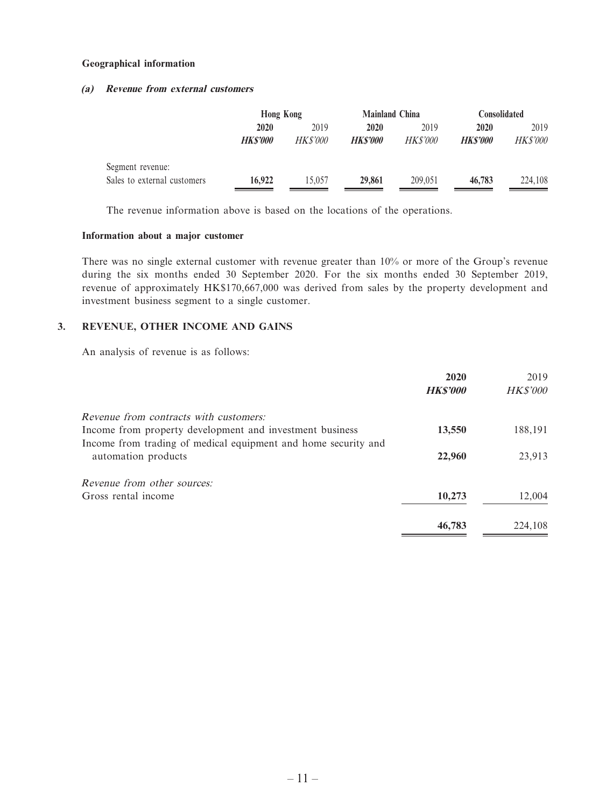#### **Geographical information**

## **(a) Revenue from external customers**

|                             | <b>Hong Kong</b> |                 | <b>Mainland China</b> |                 | <b>Consolidated</b> |                 |  |
|-----------------------------|------------------|-----------------|-----------------------|-----------------|---------------------|-----------------|--|
|                             | 2020             | 2019            | 2020                  | 2019            | 2020                | 2019            |  |
|                             | <b>HKS'000</b>   | <i>HK\$'000</i> | <b>HKS'000</b>        | <i>HK\$'000</i> | <b>HKS'000</b>      | <i>HK\$'000</i> |  |
| Segment revenue:            |                  |                 |                       |                 |                     |                 |  |
| Sales to external customers | 16.922           | 15.057          | 29,861                | 209,051         | 46,783              | 224,108         |  |

The revenue information above is based on the locations of the operations.

#### **Information about a major customer**

There was no single external customer with revenue greater than 10% or more of the Group's revenue during the six months ended 30 September 2020. For the six months ended 30 September 2019, revenue of approximately HK\$170,667,000 was derived from sales by the property development and investment business segment to a single customer.

## **3. REVENUE, OTHER INCOME AND GAINS**

An analysis of revenue is as follows:

|                                                                | 2020            | 2019            |
|----------------------------------------------------------------|-----------------|-----------------|
|                                                                | <b>HK\$'000</b> | <b>HK\$'000</b> |
| <i>Revenue from contracts with customers:</i>                  |                 |                 |
| Income from property development and investment business       | 13,550          | 188,191         |
| Income from trading of medical equipment and home security and |                 |                 |
| automation products                                            | 22,960          | 23,913          |
| <i>Revenue from other sources:</i>                             |                 |                 |
| Gross rental income                                            | 10,273          | 12,004          |
|                                                                | 46,783          | 224,108         |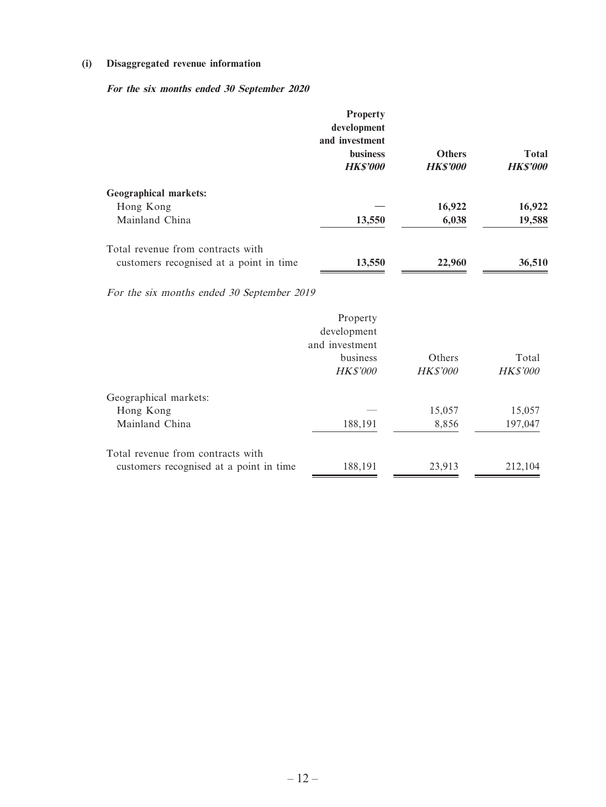## **(i) Disaggregated revenue information**

# **For the six months ended 30 September 2020**

|                                         | <b>Property</b><br>development<br>and investment<br><b>business</b><br><b>HKS'000</b> | <b>Others</b><br><b>HKS'000</b> | <b>Total</b><br><b>HK\$'000</b> |
|-----------------------------------------|---------------------------------------------------------------------------------------|---------------------------------|---------------------------------|
| <b>Geographical markets:</b>            |                                                                                       |                                 |                                 |
| Hong Kong                               |                                                                                       | 16,922                          | 16,922                          |
| Mainland China                          | 13,550                                                                                | 6,038                           | 19,588                          |
| Total revenue from contracts with       |                                                                                       |                                 |                                 |
| customers recognised at a point in time | 13,550                                                                                | 22,960                          | 36,510                          |

For the six months ended 30 September 2019

|                                         | Property<br>development<br>and investment<br>business<br><b>HK\$'000</b> | Others<br><b>HK\$'000</b> | Total<br><b>HK\$'000</b> |
|-----------------------------------------|--------------------------------------------------------------------------|---------------------------|--------------------------|
| Geographical markets:                   |                                                                          |                           |                          |
| Hong Kong                               |                                                                          | 15,057                    | 15,057                   |
| Mainland China                          | 188,191                                                                  | 8,856                     | 197,047                  |
| Total revenue from contracts with       |                                                                          |                           |                          |
| customers recognised at a point in time | 188,191                                                                  | 23,913                    | 212,104                  |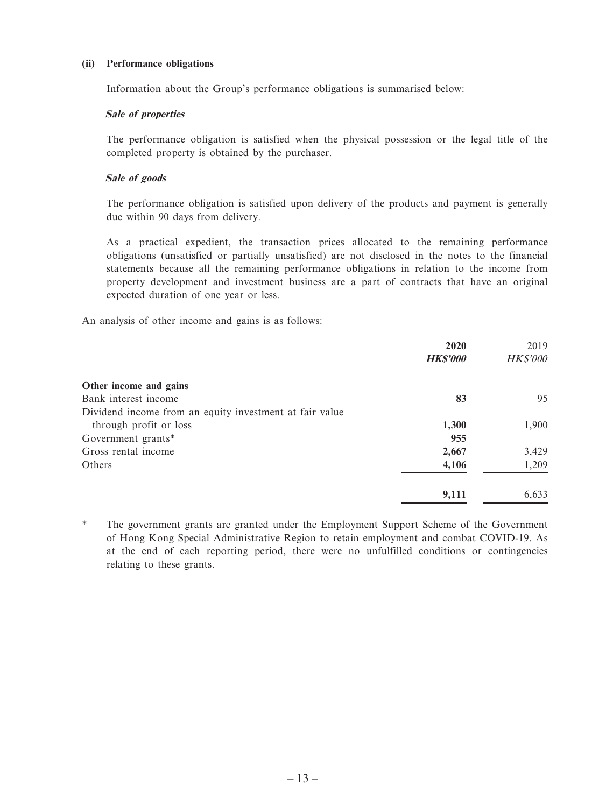## **(ii) Performance obligations**

Information about the Group's performance obligations is summarised below:

## **Sale of properties**

The performance obligation is satisfied when the physical possession or the legal title of the completed property is obtained by the purchaser.

## **Sale of goods**

The performance obligation is satisfied upon delivery of the products and payment is generally due within 90 days from delivery.

As a practical expedient, the transaction prices allocated to the remaining performance obligations (unsatisfied or partially unsatisfied) are not disclosed in the notes to the financial statements because all the remaining performance obligations in relation to the income from property development and investment business are a part of contracts that have an original expected duration of one year or less.

An analysis of other income and gains is as follows:

|                                                         | 2020            | 2019            |
|---------------------------------------------------------|-----------------|-----------------|
|                                                         | <b>HK\$'000</b> | <b>HK\$'000</b> |
| Other income and gains                                  |                 |                 |
| Bank interest income                                    | 83              | 95              |
| Dividend income from an equity investment at fair value |                 |                 |
| through profit or loss                                  | 1,300           | 1,900           |
| Government grants*                                      | 955             |                 |
| Gross rental income                                     | 2,667           | 3,429           |
| Others                                                  | 4,106           | 1,209           |
|                                                         | 9,111           | 6,633           |

\* The government grants are granted under the Employment Support Scheme of the Government of Hong Kong Special Administrative Region to retain employment and combat COVID-19. As at the end of each reporting period, there were no unfulfilled conditions or contingencies relating to these grants.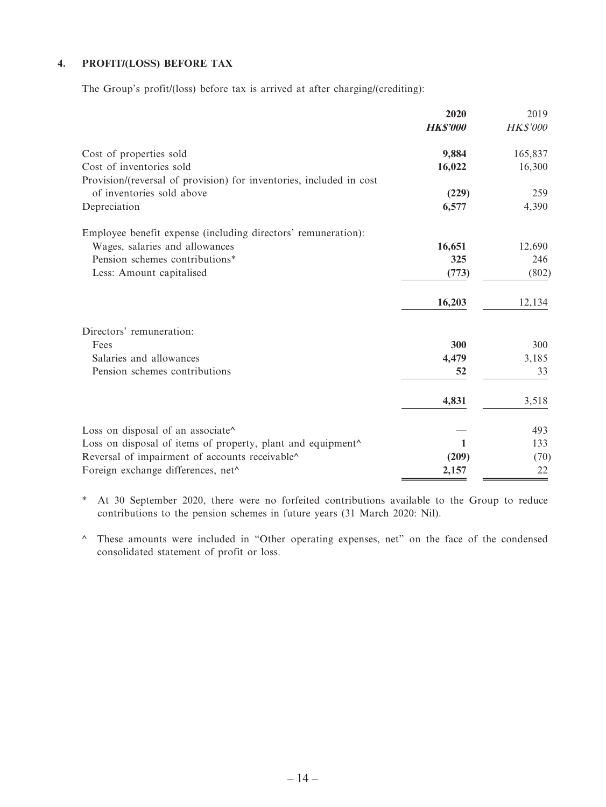## **4. PROFIT/(LOSS) BEFORE TAX**

The Group's profit/(loss) before tax is arrived at after charging/(crediting):

|                                                                     | 2020<br><b>HK\$'000</b> | 2019<br><b>HK\$'000</b> |
|---------------------------------------------------------------------|-------------------------|-------------------------|
| Cost of properties sold                                             | 9,884                   | 165,837                 |
| Cost of inventories sold                                            | 16,022                  | 16,300                  |
| Provision/(reversal of provision) for inventories, included in cost |                         |                         |
| of inventories sold above                                           | (229)                   | 259                     |
| Depreciation                                                        | 6,577                   | 4,390                   |
| Employee benefit expense (including directors' remuneration):       |                         |                         |
| Wages, salaries and allowances                                      | 16,651                  | 12,690                  |
| Pension schemes contributions*                                      | 325                     | 246                     |
| Less: Amount capitalised                                            | (773)                   | (802)                   |
|                                                                     | 16,203                  | 12,134                  |
| Directors' remuneration:                                            |                         |                         |
| Fees                                                                | 300                     | 300                     |
| Salaries and allowances                                             | 4,479                   | 3,185                   |
| Pension schemes contributions                                       | 52                      | 33                      |
|                                                                     | 4,831                   | 3,518                   |
| Loss on disposal of an associate^                                   |                         | 493                     |
| Loss on disposal of items of property, plant and equipment^         | 1                       | 133                     |
| Reversal of impairment of accounts receivable^                      | (209)                   | (70)                    |
| Foreign exchange differences, net^                                  | 2,157                   | 22                      |

\* At 30 September 2020, there were no forfeited contributions available to the Group to reduce contributions to the pension schemes in future years (31 March 2020: Nil).

^ These amounts were included in "Other operating expenses, net" on the face of the condensed consolidated statement of profit or loss.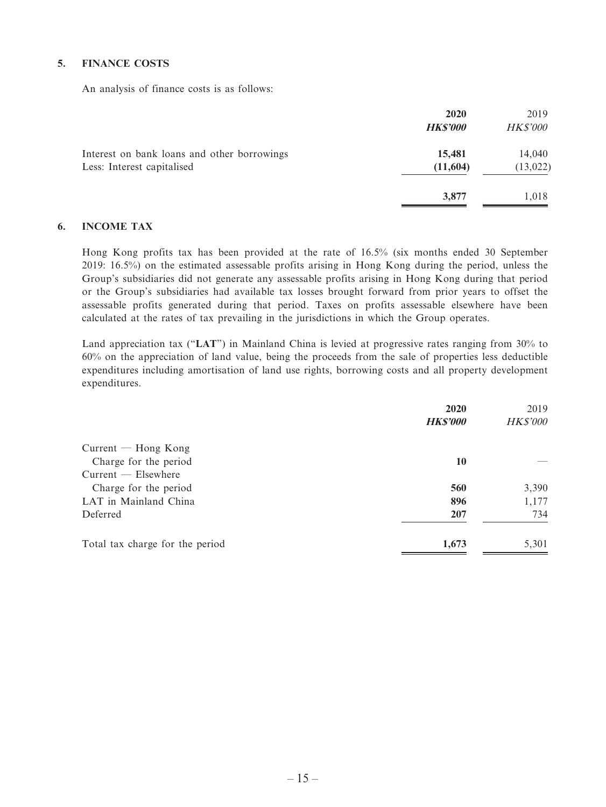## **5. FINANCE COSTS**

An analysis of finance costs is as follows:

|                                                                           | 2020<br><b>HK\$'000</b> | 2019<br><b>HK\$'000</b> |
|---------------------------------------------------------------------------|-------------------------|-------------------------|
| Interest on bank loans and other borrowings<br>Less: Interest capitalised | 15,481<br>(11,604)      | 14,040<br>(13, 022)     |
|                                                                           | 3,877                   | 1,018                   |

#### **6. INCOME TAX**

Hong Kong profits tax has been provided at the rate of 16.5% (six months ended 30 September 2019: 16.5%) on the estimated assessable profits arising in Hong Kong during the period, unless the Group's subsidiaries did not generate any assessable profits arising in Hong Kong during that period or the Group's subsidiaries had available tax losses brought forward from prior years to offset the assessable profits generated during that period. Taxes on profits assessable elsewhere have been calculated at the rates of tax prevailing in the jurisdictions in which the Group operates.

Land appreciation tax ("**LAT**") in Mainland China is levied at progressive rates ranging from 30% to 60% on the appreciation of land value, being the proceeds from the sale of properties less deductible expenditures including amortisation of land use rights, borrowing costs and all property development expenditures.

|                                 | 2020            | 2019            |
|---------------------------------|-----------------|-----------------|
|                                 | <b>HK\$'000</b> | <b>HK\$'000</b> |
| $Current - Hong Kong$           |                 |                 |
| Charge for the period           | 10              |                 |
| $Current - Elsewhere$           |                 |                 |
| Charge for the period           | 560             | 3,390           |
| LAT in Mainland China           | 896             | 1,177           |
| Deferred                        | 207             | 734             |
| Total tax charge for the period | 1,673           | 5,301           |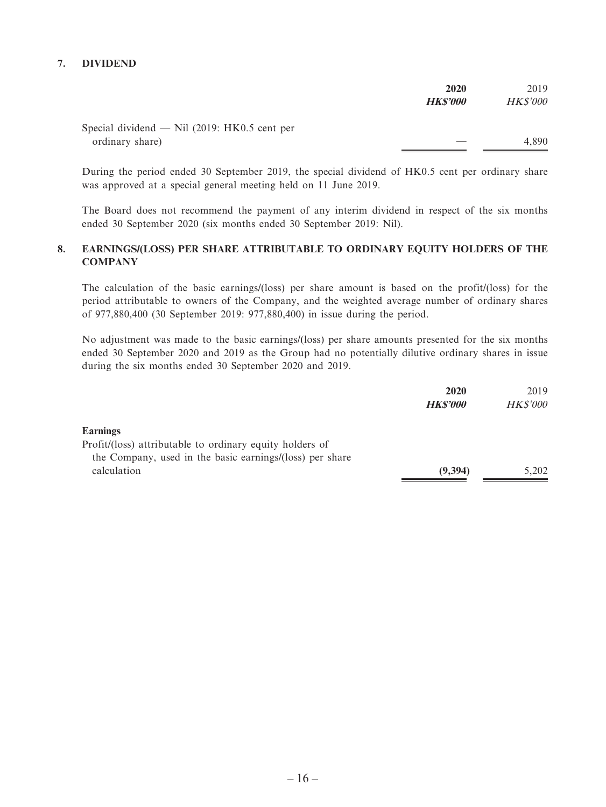## **7. DIVIDEND**

|                                                | 2020           | 2019            |
|------------------------------------------------|----------------|-----------------|
|                                                | <b>HKS'000</b> | <b>HK\$'000</b> |
| Special dividend $-$ Nil (2019: HK0.5 cent per |                |                 |
| ordinary share)                                |                | 4.890           |

During the period ended 30 September 2019, the special dividend of HK0.5 cent per ordinary share was approved at a special general meeting held on 11 June 2019.

The Board does not recommend the payment of any interim dividend in respect of the six months ended 30 September 2020 (six months ended 30 September 2019: Nil).

## **8. EARNINGS/(LOSS) PER SHARE ATTRIBUTABLE TO ORDINARY EQUITY HOLDERS OF THE COMPANY**

The calculation of the basic earnings/(loss) per share amount is based on the profit/(loss) for the period attributable to owners of the Company, and the weighted average number of ordinary shares of 977,880,400 (30 September 2019: 977,880,400) in issue during the period.

No adjustment was made to the basic earnings/(loss) per share amounts presented for the six months ended 30 September 2020 and 2019 as the Group had no potentially dilutive ordinary shares in issue during the six months ended 30 September 2020 and 2019.

| 2020           | 2019            |
|----------------|-----------------|
| <b>HKS'000</b> | <b>HK\$'000</b> |
|                |                 |
|                |                 |
|                |                 |
| (9, 394)       | 5.202           |
|                |                 |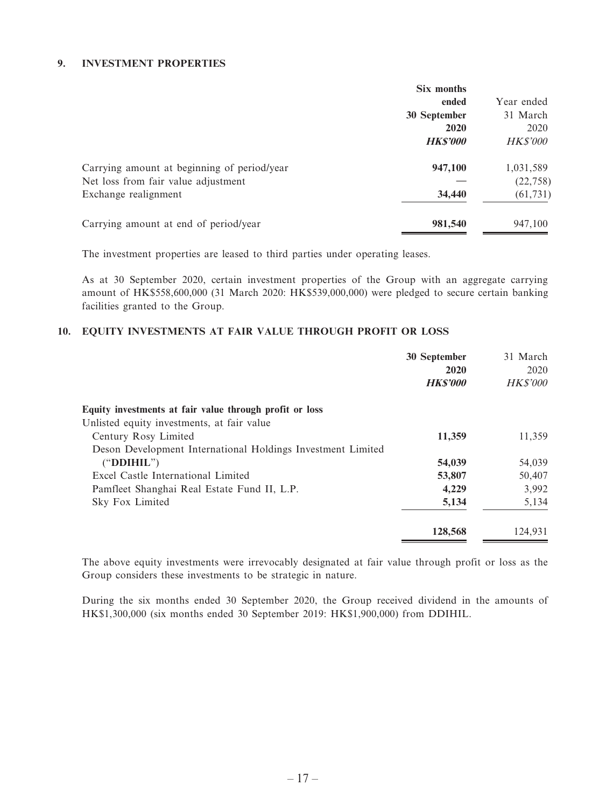## **9. INVESTMENT PROPERTIES**

|                                             | Six months     |                 |
|---------------------------------------------|----------------|-----------------|
|                                             | ended          | Year ended      |
|                                             | 30 September   | 31 March        |
|                                             | 2020           | 2020            |
|                                             | <b>HKS'000</b> | <b>HK\$'000</b> |
| Carrying amount at beginning of period/year | 947,100        | 1,031,589       |
| Net loss from fair value adjustment         |                | (22, 758)       |
| Exchange realignment                        | 34,440         | (61, 731)       |
| Carrying amount at end of period/year       | 981,540        | 947,100         |

The investment properties are leased to third parties under operating leases.

As at 30 September 2020, certain investment properties of the Group with an aggregate carrying amount of HK\$558,600,000 (31 March 2020: HK\$539,000,000) were pledged to secure certain banking facilities granted to the Group.

## **10. EQUITY INVESTMENTS AT FAIR VALUE THROUGH PROFIT OR LOSS**

|                                                             | 30 September   | 31 March        |
|-------------------------------------------------------------|----------------|-----------------|
|                                                             | 2020           | 2020            |
|                                                             | <b>HKS'000</b> | <b>HK\$'000</b> |
| Equity investments at fair value through profit or loss     |                |                 |
| Unlisted equity investments, at fair value                  |                |                 |
| Century Rosy Limited                                        | 11,359         | 11,359          |
| Deson Development International Holdings Investment Limited |                |                 |
| ("DDIHIL")                                                  | 54,039         | 54,039          |
| Excel Castle International Limited                          | 53,807         | 50,407          |
| Pamfleet Shanghai Real Estate Fund II, L.P.                 | 4,229          | 3,992           |
| Sky Fox Limited                                             | 5,134          | 5,134           |
|                                                             | 128,568        | 124,931         |

The above equity investments were irrevocably designated at fair value through profit or loss as the Group considers these investments to be strategic in nature.

During the six months ended 30 September 2020, the Group received dividend in the amounts of HK\$1,300,000 (six months ended 30 September 2019: HK\$1,900,000) from DDIHIL.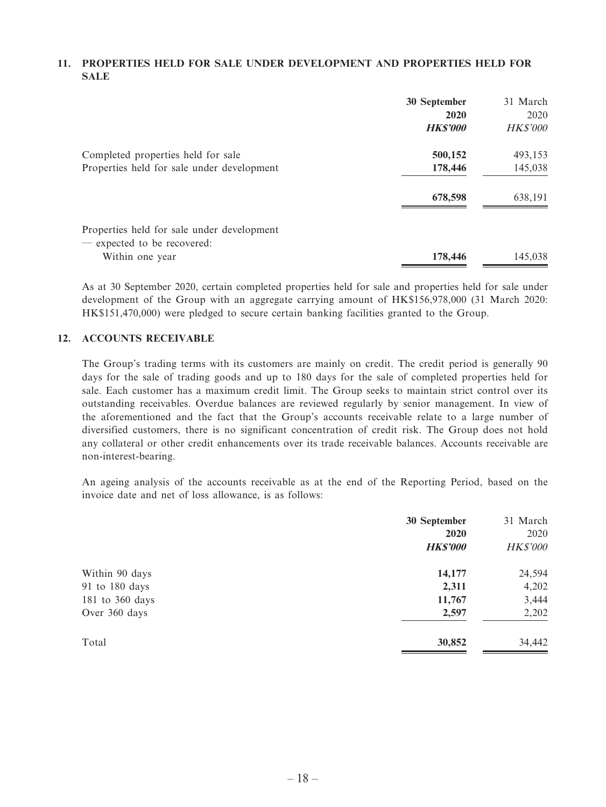## **11. PROPERTIES HELD FOR SALE UNDER DEVELOPMENT AND PROPERTIES HELD FOR SALE**

|                                                                           | 30 September<br>2020<br><b>HKS'000</b> | 31 March<br>2020<br><b>HK\$'000</b> |
|---------------------------------------------------------------------------|----------------------------------------|-------------------------------------|
| Completed properties held for sale                                        | 500,152                                | 493,153                             |
| Properties held for sale under development                                | 178,446                                | 145,038                             |
|                                                                           | 678,598                                | 638,191                             |
| Properties held for sale under development<br>— expected to be recovered: |                                        |                                     |
| Within one year                                                           | 178,446                                | 145,038                             |

As at 30 September 2020, certain completed properties held for sale and properties held for sale under development of the Group with an aggregate carrying amount of HK\$156,978,000 (31 March 2020: HK\$151,470,000) were pledged to secure certain banking facilities granted to the Group.

## **12. ACCOUNTS RECEIVABLE**

The Group's trading terms with its customers are mainly on credit. The credit period is generally 90 days for the sale of trading goods and up to 180 days for the sale of completed properties held for sale. Each customer has a maximum credit limit. The Group seeks to maintain strict control over its outstanding receivables. Overdue balances are reviewed regularly by senior management. In view of the aforementioned and the fact that the Group's accounts receivable relate to a large number of diversified customers, there is no significant concentration of credit risk. The Group does not hold any collateral or other credit enhancements over its trade receivable balances. Accounts receivable are non-interest-bearing.

An ageing analysis of the accounts receivable as at the end of the Reporting Period, based on the invoice date and net of loss allowance, is as follows:

|                 | 30 September    | 31 March        |
|-----------------|-----------------|-----------------|
|                 | 2020            | 2020            |
|                 | <b>HK\$'000</b> | <b>HK\$'000</b> |
| Within 90 days  | 14,177          | 24,594          |
| 91 to 180 days  | 2,311           | 4,202           |
| 181 to 360 days | 11,767          | 3,444           |
| Over 360 days   | 2,597           | 2,202           |
| Total           | 30,852          | 34,442          |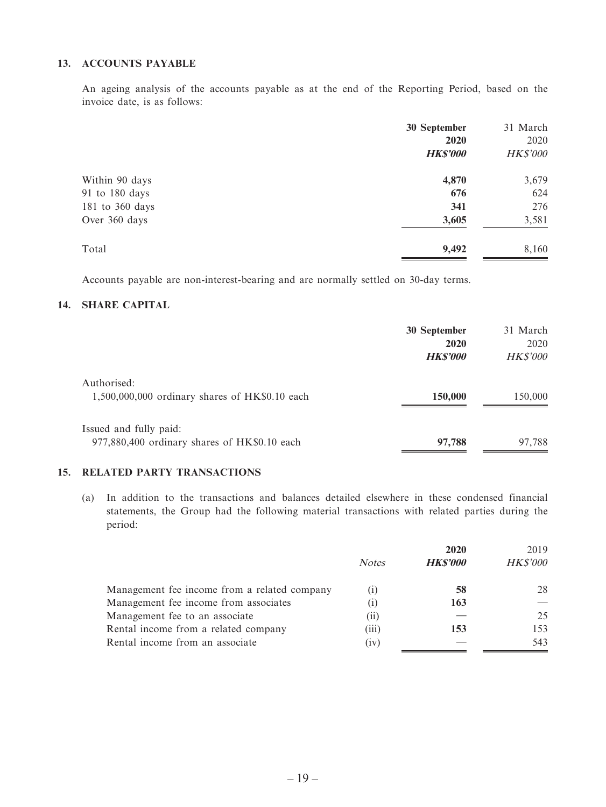## **13. ACCOUNTS PAYABLE**

An ageing analysis of the accounts payable as at the end of the Reporting Period, based on the invoice date, is as follows:

|                 | 30 September    | 31 March        |
|-----------------|-----------------|-----------------|
|                 | 2020            | 2020            |
|                 | <b>HK\$'000</b> | <b>HK\$'000</b> |
| Within 90 days  | 4,870           | 3,679           |
| 91 to 180 days  | 676             | 624             |
| 181 to 360 days | 341             | 276             |
| Over 360 days   | 3,605           | 3,581           |
| Total           | 9,492           | 8,160           |

Accounts payable are non-interest-bearing and are normally settled on 30-day terms.

## **14. SHARE CAPITAL**

|                                                                        | 30 September<br>2020<br><b>HKS'000</b> | 31 March<br>2020<br><b>HK\$'000</b> |
|------------------------------------------------------------------------|----------------------------------------|-------------------------------------|
| Authorised:<br>$1,500,000,000$ ordinary shares of HK\$0.10 each        | 150,000                                | 150,000                             |
| Issued and fully paid:<br>977,880,400 ordinary shares of HK\$0.10 each | 97,788                                 | 97,788                              |

## **15. RELATED PARTY TRANSACTIONS**

(a) In addition to the transactions and balances detailed elsewhere in these condensed financial statements, the Group had the following material transactions with related parties during the period:

|                                              |              | 2020           | 2019            |
|----------------------------------------------|--------------|----------------|-----------------|
|                                              | <b>Notes</b> | <b>HKS'000</b> | <b>HK\$'000</b> |
| Management fee income from a related company | $_{(1)}$     | 58             | 28              |
| Management fee income from associates        | $_{(1)}$     | 163            |                 |
| Management fee to an associate               | (11)         |                | 25              |
| Rental income from a related company         | (iii)        | 153            | 153             |
| Rental income from an associate              | (iv)         |                | 543             |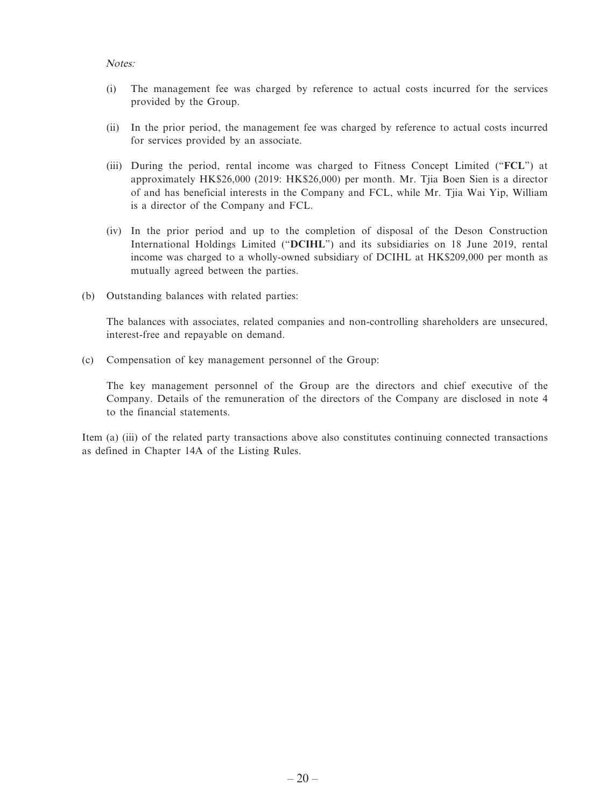#### Notes:

- (i) The management fee was charged by reference to actual costs incurred for the services provided by the Group.
- (ii) In the prior period, the management fee was charged by reference to actual costs incurred for services provided by an associate.
- (iii) During the period, rental income was charged to Fitness Concept Limited ("**FCL**") at approximately HK\$26,000 (2019: HK\$26,000) per month. Mr. Tjia Boen Sien is a director of and has beneficial interests in the Company and FCL, while Mr. Tjia Wai Yip, William is a director of the Company and FCL.
- (iv) In the prior period and up to the completion of disposal of the Deson Construction International Holdings Limited ("**DCIHL**") and its subsidiaries on 18 June 2019, rental income was charged to a wholly-owned subsidiary of DCIHL at HK\$209,000 per month as mutually agreed between the parties.
- (b) Outstanding balances with related parties:

The balances with associates, related companies and non-controlling shareholders are unsecured, interest-free and repayable on demand.

(c) Compensation of key management personnel of the Group:

The key management personnel of the Group are the directors and chief executive of the Company. Details of the remuneration of the directors of the Company are disclosed in note 4 to the financial statements.

Item (a) (iii) of the related party transactions above also constitutes continuing connected transactions as defined in Chapter 14A of the Listing Rules.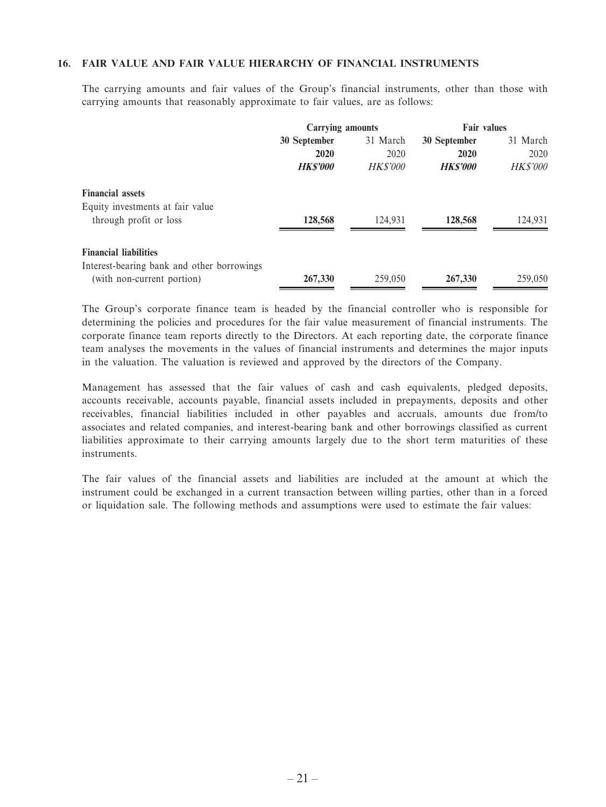#### **16. FAIR VALUE AND FAIR VALUE HIERARCHY OF FINANCIAL INSTRUMENTS**

The carrying amounts and fair values of the Group's financial instruments, other than those with carrying amounts that reasonably approximate to fair values, are as follows:

|                                                                          | <b>Carrying amounts</b> |                 | <b>Fair values</b> |                 |
|--------------------------------------------------------------------------|-------------------------|-----------------|--------------------|-----------------|
|                                                                          | 30 September            | 31 March        | 30 September       | 31 March        |
|                                                                          | 2020                    | 2020            | 2020               | 2020            |
|                                                                          | <b>HKS'000</b>          | <i>HK\$'000</i> | <b>HKS'000</b>     | <b>HK\$'000</b> |
| <b>Financial assets</b>                                                  |                         |                 |                    |                 |
| Equity investments at fair value<br>through profit or loss               | 128,568                 | 124.931         | 128,568            | 124,931         |
| <b>Financial liabilities</b>                                             |                         |                 |                    |                 |
| Interest-bearing bank and other borrowings<br>(with non-current portion) | 267,330                 | 259,050         | 267,330            | 259,050         |

The Group's corporate finance team is headed by the financial controller who is responsible for determining the policies and procedures for the fair value measurement of financial instruments. The corporate finance team reports directly to the Directors. At each reporting date, the corporate finance team analyses the movements in the values of financial instruments and determines the major inputs in the valuation. The valuation is reviewed and approved by the directors of the Company.

Management has assessed that the fair values of cash and cash equivalents, pledged deposits, accounts receivable, accounts payable, financial assets included in prepayments, deposits and other receivables, financial liabilities included in other payables and accruals, amounts due from/to associates and related companies, and interest-bearing bank and other borrowings classified as current liabilities approximate to their carrying amounts largely due to the short term maturities of these instruments.

The fair values of the financial assets and liabilities are included at the amount at which the instrument could be exchanged in a current transaction between willing parties, other than in a forced or liquidation sale. The following methods and assumptions were used to estimate the fair values: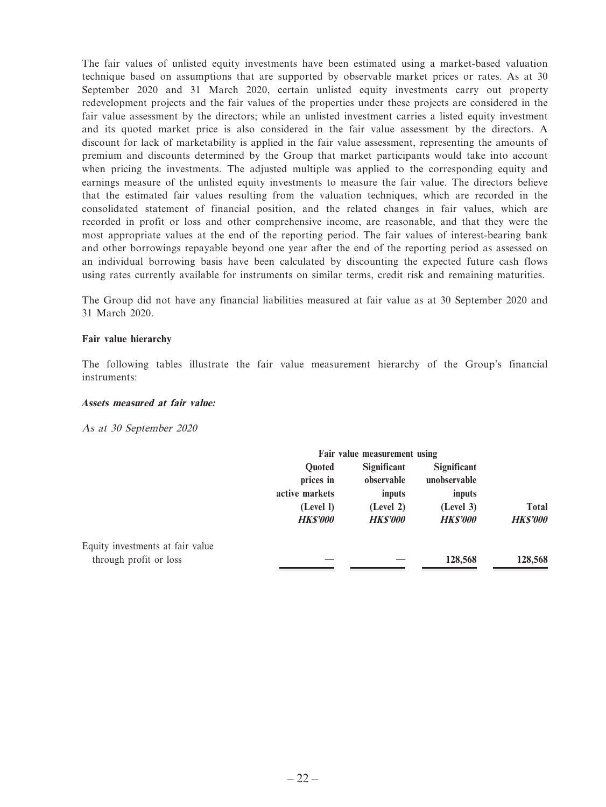The fair values of unlisted equity investments have been estimated using a market-based valuation technique based on assumptions that are supported by observable market prices or rates. As at 30 September 2020 and 31 March 2020, certain unlisted equity investments carry out property redevelopment projects and the fair values of the properties under these projects are considered in the fair value assessment by the directors; while an unlisted investment carries a listed equity investment and its quoted market price is also considered in the fair value assessment by the directors. A discount for lack of marketability is applied in the fair value assessment, representing the amounts of premium and discounts determined by the Group that market participants would take into account when pricing the investments. The adjusted multiple was applied to the corresponding equity and earnings measure of the unlisted equity investments to measure the fair value. The directors believe that the estimated fair values resulting from the valuation techniques, which are recorded in the consolidated statement of financial position, and the related changes in fair values, which are recorded in profit or loss and other comprehensive income, are reasonable, and that they were the most appropriate values at the end of the reporting period. The fair values of interest-bearing bank and other borrowings repayable beyond one year after the end of the reporting period as assessed on an individual borrowing basis have been calculated by discounting the expected future cash flows using rates currently available for instruments on similar terms, credit risk and remaining maturities.

The Group did not have any financial liabilities measured at fair value as at 30 September 2020 and 31 March 2020.

#### **Fair value hierarchy**

The following tables illustrate the fair value measurement hierarchy of the Group's financial instruments:

#### **Assets measured at fair value:**

As at 30 September 2020

|                                  | Fair value measurement using        |                |                |                 |  |
|----------------------------------|-------------------------------------|----------------|----------------|-----------------|--|
|                                  | <b>Significant</b><br><b>Ouoted</b> |                | Significant    |                 |  |
|                                  | prices in                           | observable     | unobservable   |                 |  |
|                                  | active markets                      | inputs         | inputs         |                 |  |
|                                  | (Level I)                           | (Level 2)      | (Level 3)      | <b>Total</b>    |  |
|                                  | <b>HKS'000</b>                      | <b>HKS'000</b> | <b>HKS'000</b> | <b>HK\$'000</b> |  |
| Equity investments at fair value |                                     |                |                |                 |  |
| through profit or loss           |                                     |                | 128,568        | 128,568         |  |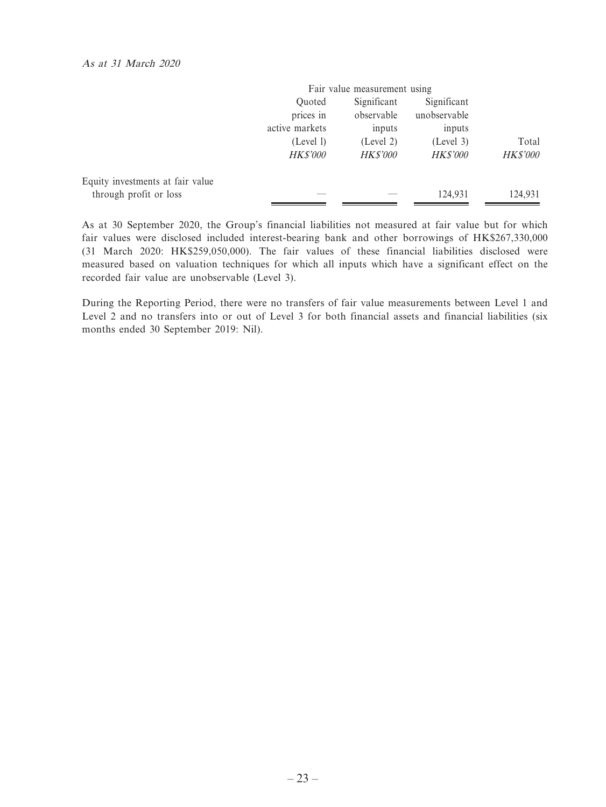|                                  |                 | Fair value measurement using |                 |                 |
|----------------------------------|-----------------|------------------------------|-----------------|-----------------|
|                                  | Ouoted          | Significant                  | Significant     |                 |
|                                  | prices in       | observable                   | unobservable    |                 |
|                                  | active markets  | inputs                       | inputs          |                 |
|                                  | (Level 1)       | (Level 2)                    | (Level 3)       | Total           |
|                                  | <b>HK\$'000</b> | <b>HK\$'000</b>              | <b>HK\$'000</b> | <b>HK\$'000</b> |
| Equity investments at fair value |                 |                              |                 |                 |
| through profit or loss           |                 |                              | 124.931         | 124.931         |

As at 30 September 2020, the Group's financial liabilities not measured at fair value but for which fair values were disclosed included interest-bearing bank and other borrowings of HK\$267,330,000 (31 March 2020: HK\$259,050,000). The fair values of these financial liabilities disclosed were measured based on valuation techniques for which all inputs which have a significant effect on the recorded fair value are unobservable (Level 3).

During the Reporting Period, there were no transfers of fair value measurements between Level 1 and Level 2 and no transfers into or out of Level 3 for both financial assets and financial liabilities (six months ended 30 September 2019: Nil).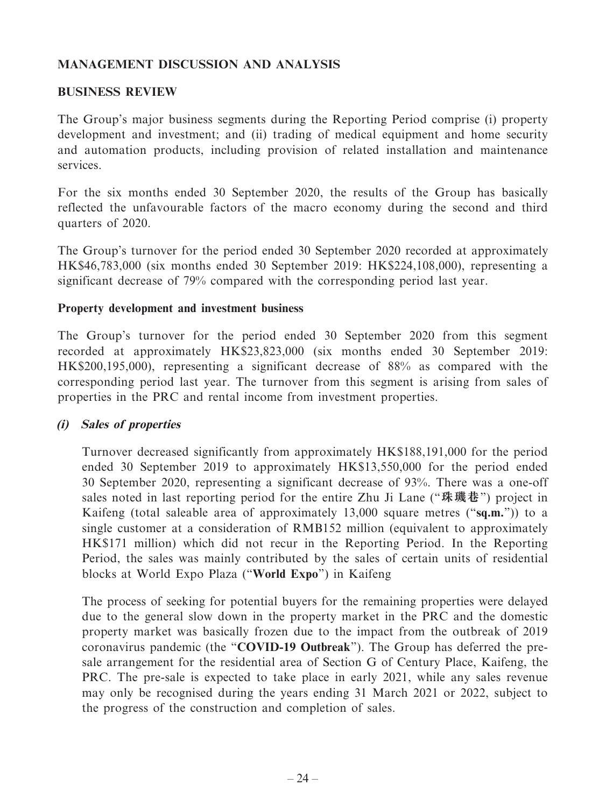# **MANAGEMENT DISCUSSION AND ANALYSIS**

# **BUSINESS REVIEW**

The Group's major business segments during the Reporting Period comprise (i) property development and investment; and (ii) trading of medical equipment and home security and automation products, including provision of related installation and maintenance services.

For the six months ended 30 September 2020, the results of the Group has basically reflected the unfavourable factors of the macro economy during the second and third quarters of 2020.

The Group's turnover for the period ended 30 September 2020 recorded at approximately HK\$46,783,000 (six months ended 30 September 2019: HK\$224,108,000), representing a significant decrease of 79% compared with the corresponding period last year.

# **Property development and investment business**

The Group's turnover for the period ended 30 September 2020 from this segment recorded at approximately HK\$23,823,000 (six months ended 30 September 2019: HK\$200,195,000), representing a significant decrease of 88% as compared with the corresponding period last year. The turnover from this segment is arising from sales of properties in the PRC and rental income from investment properties.

# **(i) Sales of properties**

Turnover decreased significantly from approximately HK\$188,191,000 for the period ended 30 September 2019 to approximately HK\$13,550,000 for the period ended 30 September 2020, representing a significant decrease of 93%. There was a one-off sales noted in last reporting period for the entire Zhu Ji Lane ("**珠璣巷**") project in Kaifeng (total saleable area of approximately 13,000 square metres ("**sq.m.**")) to a single customer at a consideration of RMB152 million (equivalent to approximately HK\$171 million) which did not recur in the Reporting Period. In the Reporting Period, the sales was mainly contributed by the sales of certain units of residential blocks at World Expo Plaza ("**World Expo**") in Kaifeng

The process of seeking for potential buyers for the remaining properties were delayed due to the general slow down in the property market in the PRC and the domestic property market was basically frozen due to the impact from the outbreak of 2019 coronavirus pandemic (the "**COVID-19 Outbreak**"). The Group has deferred the presale arrangement for the residential area of Section G of Century Place, Kaifeng, the PRC. The pre-sale is expected to take place in early 2021, while any sales revenue may only be recognised during the years ending 31 March 2021 or 2022, subject to the progress of the construction and completion of sales.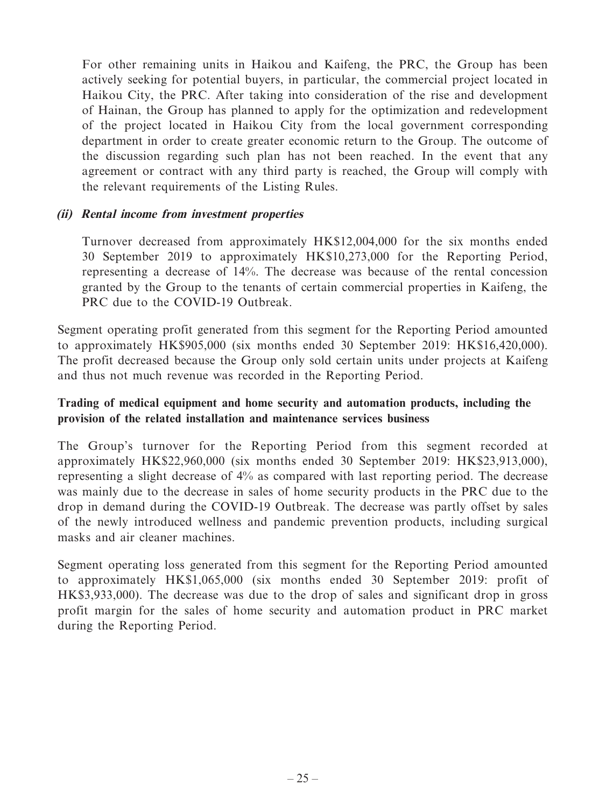For other remaining units in Haikou and Kaifeng, the PRC, the Group has been actively seeking for potential buyers, in particular, the commercial project located in Haikou City, the PRC. After taking into consideration of the rise and development of Hainan, the Group has planned to apply for the optimization and redevelopment of the project located in Haikou City from the local government corresponding department in order to create greater economic return to the Group. The outcome of the discussion regarding such plan has not been reached. In the event that any agreement or contract with any third party is reached, the Group will comply with the relevant requirements of the Listing Rules.

# **(ii) Rental income from investment properties**

Turnover decreased from approximately HK\$12,004,000 for the six months ended 30 September 2019 to approximately HK\$10,273,000 for the Reporting Period, representing a decrease of 14%. The decrease was because of the rental concession granted by the Group to the tenants of certain commercial properties in Kaifeng, the PRC due to the COVID-19 Outbreak.

Segment operating profit generated from this segment for the Reporting Period amounted to approximately HK\$905,000 (six months ended 30 September 2019: HK\$16,420,000). The profit decreased because the Group only sold certain units under projects at Kaifeng and thus not much revenue was recorded in the Reporting Period.

# **Trading of medical equipment and home security and automation products, including the provision of the related installation and maintenance services business**

The Group's turnover for the Reporting Period from this segment recorded at approximately HK\$22,960,000 (six months ended 30 September 2019: HK\$23,913,000), representing a slight decrease of 4% as compared with last reporting period. The decrease was mainly due to the decrease in sales of home security products in the PRC due to the drop in demand during the COVID-19 Outbreak. The decrease was partly offset by sales of the newly introduced wellness and pandemic prevention products, including surgical masks and air cleaner machines.

Segment operating loss generated from this segment for the Reporting Period amounted to approximately HK\$1,065,000 (six months ended 30 September 2019: profit of HK\$3,933,000). The decrease was due to the drop of sales and significant drop in gross profit margin for the sales of home security and automation product in PRC market during the Reporting Period.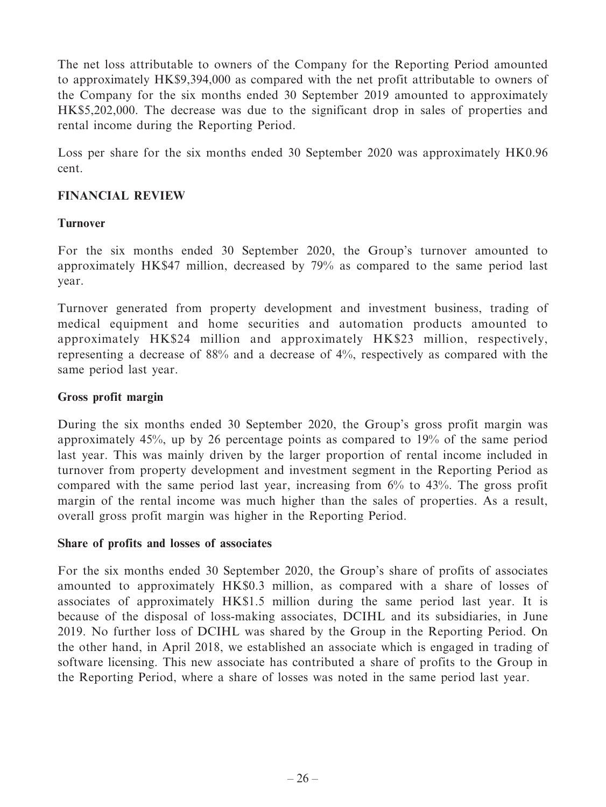The net loss attributable to owners of the Company for the Reporting Period amounted to approximately HK\$9,394,000 as compared with the net profit attributable to owners of the Company for the six months ended 30 September 2019 amounted to approximately HK\$5,202,000. The decrease was due to the significant drop in sales of properties and rental income during the Reporting Period.

Loss per share for the six months ended 30 September 2020 was approximately HK0.96 cent.

# **FINANCIAL REVIEW**

# **Turnover**

For the six months ended 30 September 2020, the Group's turnover amounted to approximately HK\$47 million, decreased by 79% as compared to the same period last year.

Turnover generated from property development and investment business, trading of medical equipment and home securities and automation products amounted to approximately HK\$24 million and approximately HK\$23 million, respectively, representing a decrease of 88% and a decrease of 4%, respectively as compared with the same period last year.

# **Gross profit margin**

During the six months ended 30 September 2020, the Group's gross profit margin was approximately 45%, up by 26 percentage points as compared to 19% of the same period last year. This was mainly driven by the larger proportion of rental income included in turnover from property development and investment segment in the Reporting Period as compared with the same period last year, increasing from 6% to 43%. The gross profit margin of the rental income was much higher than the sales of properties. As a result, overall gross profit margin was higher in the Reporting Period.

# **Share of profits and losses of associates**

For the six months ended 30 September 2020, the Group's share of profits of associates amounted to approximately HK\$0.3 million, as compared with a share of losses of associates of approximately HK\$1.5 million during the same period last year. It is because of the disposal of loss-making associates, DCIHL and its subsidiaries, in June 2019. No further loss of DCIHL was shared by the Group in the Reporting Period. On the other hand, in April 2018, we established an associate which is engaged in trading of software licensing. This new associate has contributed a share of profits to the Group in the Reporting Period, where a share of losses was noted in the same period last year.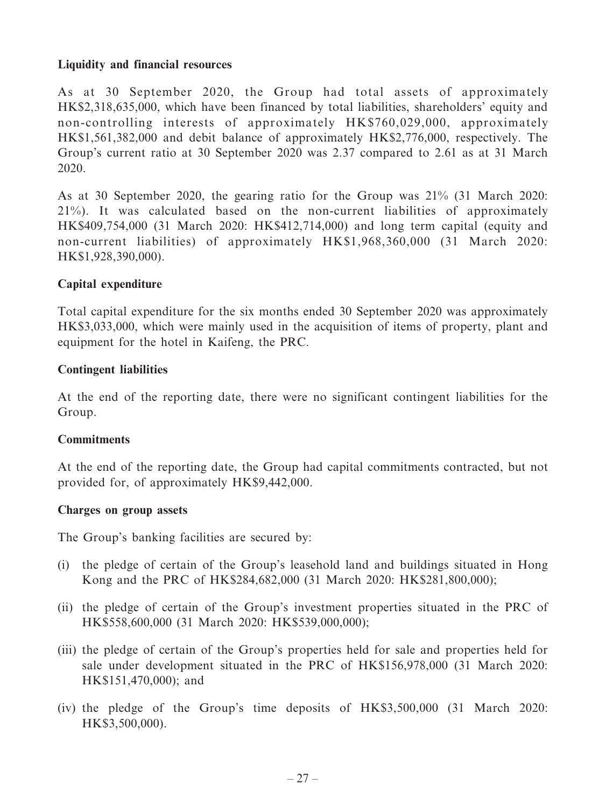# **Liquidity and financial resources**

As at 30 September 2020, the Group had total assets of approximately HK\$2,318,635,000, which have been financed by total liabilities, shareholders' equity and non-controlling interests of approximately HK\$760,029,000, approximately HK\$1,561,382,000 and debit balance of approximately HK\$2,776,000, respectively. The Group's current ratio at 30 September 2020 was 2.37 compared to 2.61 as at 31 March 2020.

As at 30 September 2020, the gearing ratio for the Group was 21% (31 March 2020: 21%). It was calculated based on the non-current liabilities of approximately HK\$409,754,000 (31 March 2020: HK\$412,714,000) and long term capital (equity and non-current liabilities) of approximately HK\$1,968,360,000 (31 March 2020: HK\$1,928,390,000).

# **Capital expenditure**

Total capital expenditure for the six months ended 30 September 2020 was approximately HK\$3,033,000, which were mainly used in the acquisition of items of property, plant and equipment for the hotel in Kaifeng, the PRC.

# **Contingent liabilities**

At the end of the reporting date, there were no significant contingent liabilities for the Group.

# **Commitments**

At the end of the reporting date, the Group had capital commitments contracted, but not provided for, of approximately HK\$9,442,000.

## **Charges on group assets**

The Group's banking facilities are secured by:

- (i) the pledge of certain of the Group's leasehold land and buildings situated in Hong Kong and the PRC of HK\$284,682,000 (31 March 2020: HK\$281,800,000);
- (ii) the pledge of certain of the Group's investment properties situated in the PRC of HK\$558,600,000 (31 March 2020: HK\$539,000,000);
- (iii) the pledge of certain of the Group's properties held for sale and properties held for sale under development situated in the PRC of HK\$156,978,000 (31 March 2020: HK\$151,470,000); and
- (iv) the pledge of the Group's time deposits of HK\$3,500,000 (31 March 2020: HK\$3,500,000).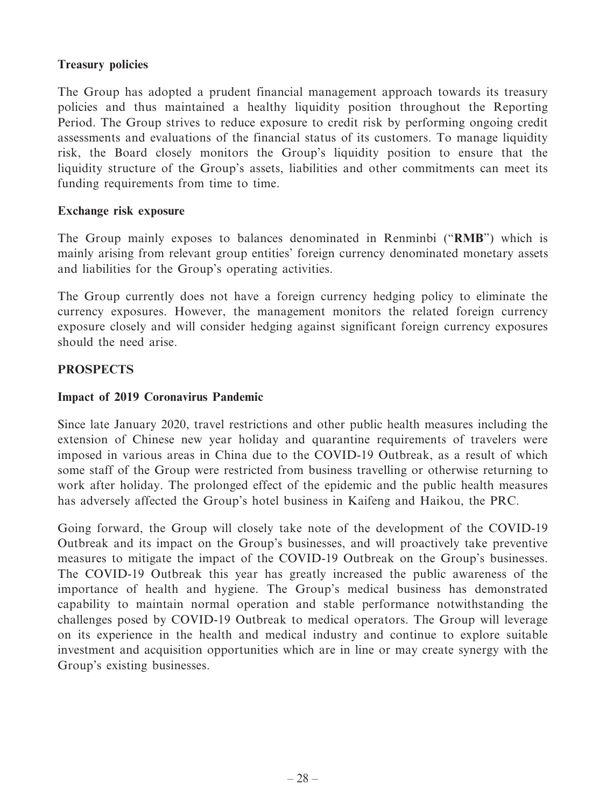# **Treasury policies**

The Group has adopted a prudent financial management approach towards its treasury policies and thus maintained a healthy liquidity position throughout the Reporting Period. The Group strives to reduce exposure to credit risk by performing ongoing credit assessments and evaluations of the financial status of its customers. To manage liquidity risk, the Board closely monitors the Group's liquidity position to ensure that the liquidity structure of the Group's assets, liabilities and other commitments can meet its funding requirements from time to time.

# **Exchange risk exposure**

The Group mainly exposes to balances denominated in Renminbi ("**RMB**") which is mainly arising from relevant group entities' foreign currency denominated monetary assets and liabilities for the Group's operating activities.

The Group currently does not have a foreign currency hedging policy to eliminate the currency exposures. However, the management monitors the related foreign currency exposure closely and will consider hedging against significant foreign currency exposures should the need arise.

# **PROSPECTS**

# **Impact of 2019 Coronavirus Pandemic**

Since late January 2020, travel restrictions and other public health measures including the extension of Chinese new year holiday and quarantine requirements of travelers were imposed in various areas in China due to the COVID-19 Outbreak, as a result of which some staff of the Group were restricted from business travelling or otherwise returning to work after holiday. The prolonged effect of the epidemic and the public health measures has adversely affected the Group's hotel business in Kaifeng and Haikou, the PRC.

Going forward, the Group will closely take note of the development of the COVID-19 Outbreak and its impact on the Group's businesses, and will proactively take preventive measures to mitigate the impact of the COVID-19 Outbreak on the Group's businesses. The COVID-19 Outbreak this year has greatly increased the public awareness of the importance of health and hygiene. The Group's medical business has demonstrated capability to maintain normal operation and stable performance notwithstanding the challenges posed by COVID-19 Outbreak to medical operators. The Group will leverage on its experience in the health and medical industry and continue to explore suitable investment and acquisition opportunities which are in line or may create synergy with the Group's existing businesses.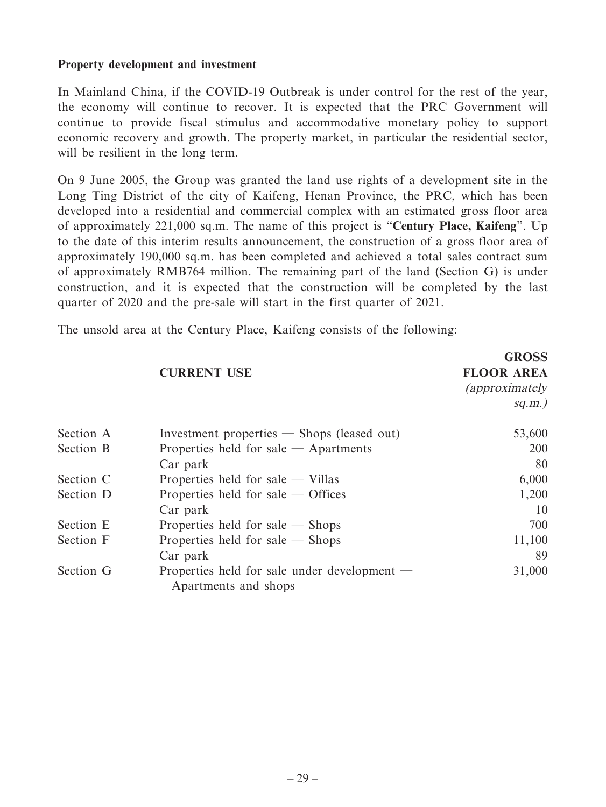## **Property development and investment**

In Mainland China, if the COVID-19 Outbreak is under control for the rest of the year, the economy will continue to recover. It is expected that the PRC Government will continue to provide fiscal stimulus and accommodative monetary policy to support economic recovery and growth. The property market, in particular the residential sector, will be resilient in the long term.

On 9 June 2005, the Group was granted the land use rights of a development site in the Long Ting District of the city of Kaifeng, Henan Province, the PRC, which has been developed into a residential and commercial complex with an estimated gross floor area of approximately 221,000 sq.m. The name of this project is "**Century Place, Kaifeng**". Up to the date of this interim results announcement, the construction of a gross floor area of approximately 190,000 sq.m. has been completed and achieved a total sales contract sum of approximately RMB764 million. The remaining part of the land (Section G) is under construction, and it is expected that the construction will be completed by the last quarter of 2020 and the pre-sale will start in the first quarter of 2021.

The unsold area at the Century Place, Kaifeng consists of the following:

|           |                                                                        | <b>GROSS</b>           |
|-----------|------------------------------------------------------------------------|------------------------|
|           | <b>CURRENT USE</b>                                                     | <b>FLOOR AREA</b>      |
|           |                                                                        | <i>(approximately)</i> |
|           |                                                                        | $sq.m.$ )              |
| Section A | Investment properties $-$ Shops (leased out)                           | 53,600                 |
| Section B | Properties held for sale $-$ Apartments                                | 200                    |
|           | Car park                                                               | 80                     |
| Section C | Properties held for sale $-$ Villas                                    | 6,000                  |
| Section D | Properties held for sale $-$ Offices                                   | 1,200                  |
|           | Car park                                                               | 10                     |
| Section E | Properties held for sale $-$ Shops                                     | 700                    |
| Section F | Properties held for sale $-$ Shops                                     | 11,100                 |
|           | Car park                                                               | 89                     |
| Section G | Properties held for sale under development $-$<br>Apartments and shops | 31,000                 |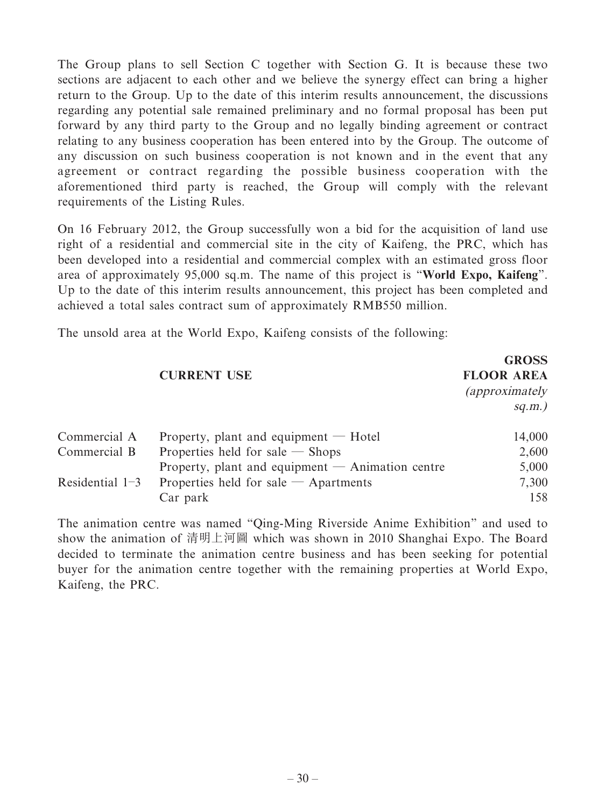The Group plans to sell Section C together with Section G. It is because these two sections are adjacent to each other and we believe the synergy effect can bring a higher return to the Group. Up to the date of this interim results announcement, the discussions regarding any potential sale remained preliminary and no formal proposal has been put forward by any third party to the Group and no legally binding agreement or contract relating to any business cooperation has been entered into by the Group. The outcome of any discussion on such business cooperation is not known and in the event that any agreement or contract regarding the possible business cooperation with the aforementioned third party is reached, the Group will comply with the relevant requirements of the Listing Rules.

On 16 February 2012, the Group successfully won a bid for the acquisition of land use right of a residential and commercial site in the city of Kaifeng, the PRC, which has been developed into a residential and commercial complex with an estimated gross floor area of approximately 95,000 sq.m. The name of this project is "**World Expo, Kaifeng**". Up to the date of this interim results announcement, this project has been completed and achieved a total sales contract sum of approximately RMB550 million.

The unsold area at the World Expo, Kaifeng consists of the following:

|                   |                                                    | GRUSS.                 |
|-------------------|----------------------------------------------------|------------------------|
|                   | <b>CURRENT USE</b>                                 | <b>FLOOR AREA</b>      |
|                   |                                                    | <i>(approximately)</i> |
|                   |                                                    | $sq.m.$ )              |
| Commercial A      | Property, plant and equipment $-$ Hotel            | 14,000                 |
| Commercial B      | Properties held for sale $-$ Shops                 | 2,600                  |
|                   | Property, plant and equipment $-$ Animation centre | 5,000                  |
| Residential $1-3$ | Properties held for sale $-$ Apartments            | 7,300                  |
|                   | Car park                                           | 158                    |

 $GRO$ 

The animation centre was named "Qing-Ming Riverside Anime Exhibition" and used to show the animation of 清明上河圖 which was shown in 2010 Shanghai Expo. The Board decided to terminate the animation centre business and has been seeking for potential buyer for the animation centre together with the remaining properties at World Expo, Kaifeng, the PRC.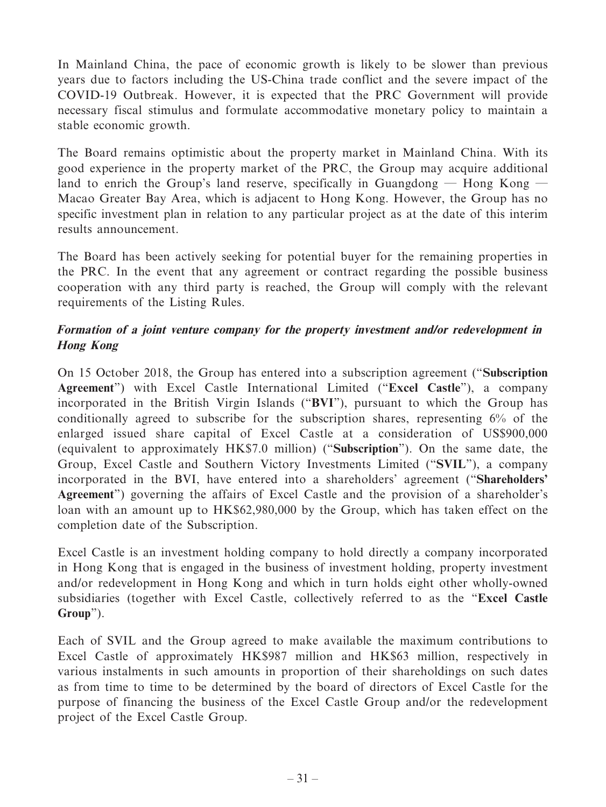In Mainland China, the pace of economic growth is likely to be slower than previous years due to factors including the US-China trade conflict and the severe impact of the COVID-19 Outbreak. However, it is expected that the PRC Government will provide necessary fiscal stimulus and formulate accommodative monetary policy to maintain a stable economic growth.

The Board remains optimistic about the property market in Mainland China. With its good experience in the property market of the PRC, the Group may acquire additional land to enrich the Group's land reserve, specifically in Guangdong  $-$  Hong Kong  $-$ Macao Greater Bay Area, which is adjacent to Hong Kong. However, the Group has no specific investment plan in relation to any particular project as at the date of this interim results announcement.

The Board has been actively seeking for potential buyer for the remaining properties in the PRC. In the event that any agreement or contract regarding the possible business cooperation with any third party is reached, the Group will comply with the relevant requirements of the Listing Rules.

# **Formation of a joint venture company for the property investment and/or redevelopment in Hong Kong**

On 15 October 2018, the Group has entered into a subscription agreement ("**Subscription Agreement**") with Excel Castle International Limited ("**Excel Castle**"), a company incorporated in the British Virgin Islands ("**BVI**"), pursuant to which the Group has conditionally agreed to subscribe for the subscription shares, representing 6% of the enlarged issued share capital of Excel Castle at a consideration of US\$900,000 (equivalent to approximately HK\$7.0 million) ("**Subscription**"). On the same date, the Group, Excel Castle and Southern Victory Investments Limited ("**SVIL**"), a company incorporated in the BVI, have entered into a shareholders' agreement ("**Shareholders' Agreement**") governing the affairs of Excel Castle and the provision of a shareholder's loan with an amount up to HK\$62,980,000 by the Group, which has taken effect on the completion date of the Subscription.

Excel Castle is an investment holding company to hold directly a company incorporated in Hong Kong that is engaged in the business of investment holding, property investment and/or redevelopment in Hong Kong and which in turn holds eight other wholly-owned subsidiaries (together with Excel Castle, collectively referred to as the "**Excel Castle Group**").

Each of SVIL and the Group agreed to make available the maximum contributions to Excel Castle of approximately HK\$987 million and HK\$63 million, respectively in various instalments in such amounts in proportion of their shareholdings on such dates as from time to time to be determined by the board of directors of Excel Castle for the purpose of financing the business of the Excel Castle Group and/or the redevelopment project of the Excel Castle Group.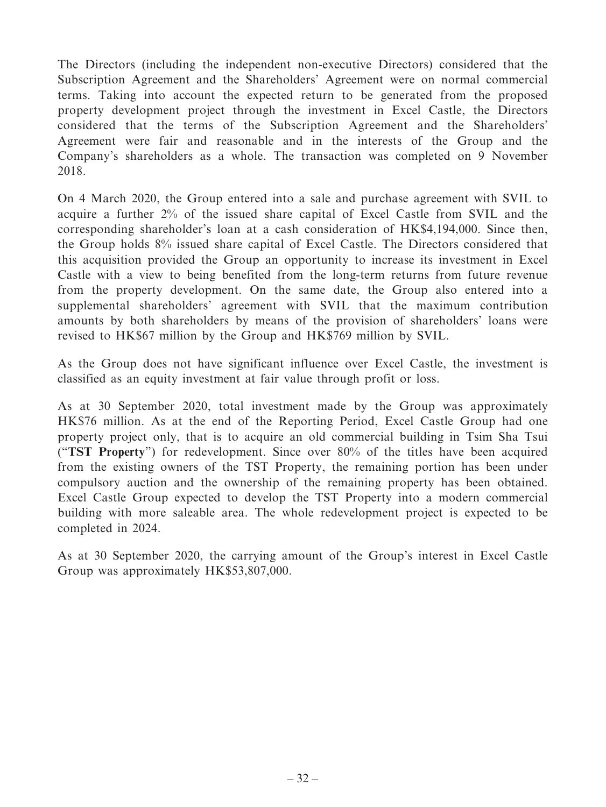The Directors (including the independent non-executive Directors) considered that the Subscription Agreement and the Shareholders' Agreement were on normal commercial terms. Taking into account the expected return to be generated from the proposed property development project through the investment in Excel Castle, the Directors considered that the terms of the Subscription Agreement and the Shareholders' Agreement were fair and reasonable and in the interests of the Group and the Company's shareholders as a whole. The transaction was completed on 9 November 2018.

On 4 March 2020, the Group entered into a sale and purchase agreement with SVIL to acquire a further 2% of the issued share capital of Excel Castle from SVIL and the corresponding shareholder's loan at a cash consideration of HK\$4,194,000. Since then, the Group holds 8% issued share capital of Excel Castle. The Directors considered that this acquisition provided the Group an opportunity to increase its investment in Excel Castle with a view to being benefited from the long-term returns from future revenue from the property development. On the same date, the Group also entered into a supplemental shareholders' agreement with SVIL that the maximum contribution amounts by both shareholders by means of the provision of shareholders' loans were revised to HK\$67 million by the Group and HK\$769 million by SVIL.

As the Group does not have significant influence over Excel Castle, the investment is classified as an equity investment at fair value through profit or loss.

As at 30 September 2020, total investment made by the Group was approximately HK\$76 million. As at the end of the Reporting Period, Excel Castle Group had one property project only, that is to acquire an old commercial building in Tsim Sha Tsui ("**TST Property**") for redevelopment. Since over 80% of the titles have been acquired from the existing owners of the TST Property, the remaining portion has been under compulsory auction and the ownership of the remaining property has been obtained. Excel Castle Group expected to develop the TST Property into a modern commercial building with more saleable area. The whole redevelopment project is expected to be completed in 2024.

As at 30 September 2020, the carrying amount of the Group's interest in Excel Castle Group was approximately HK\$53,807,000.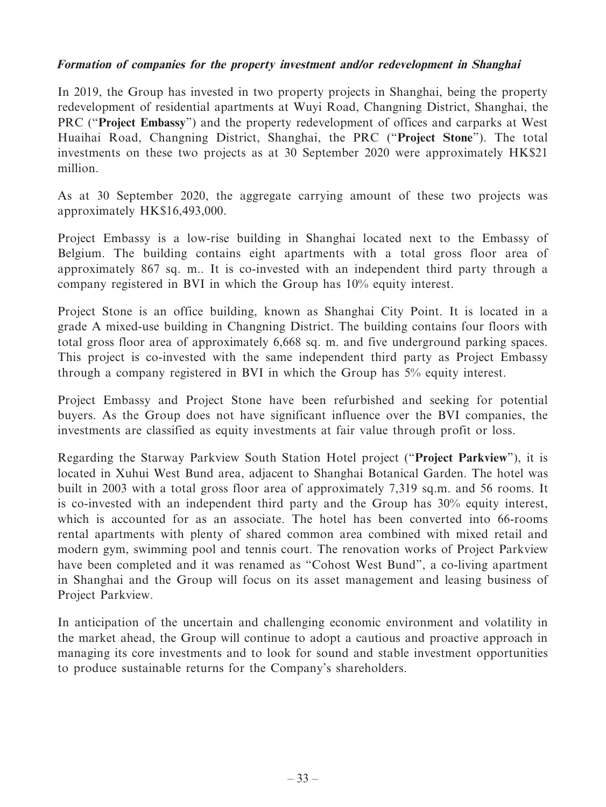# **Formation of companies for the property investment and/or redevelopment in Shanghai**

In 2019, the Group has invested in two property projects in Shanghai, being the property redevelopment of residential apartments at Wuyi Road, Changning District, Shanghai, the PRC ("**Project Embassy**") and the property redevelopment of offices and carparks at West Huaihai Road, Changning District, Shanghai, the PRC ("**Project Stone**"). The total investments on these two projects as at 30 September 2020 were approximately HK\$21 million.

As at 30 September 2020, the aggregate carrying amount of these two projects was approximately HK\$16,493,000.

Project Embassy is a low-rise building in Shanghai located next to the Embassy of Belgium. The building contains eight apartments with a total gross floor area of approximately 867 sq. m.. It is co-invested with an independent third party through a company registered in BVI in which the Group has 10% equity interest.

Project Stone is an office building, known as Shanghai City Point. It is located in a grade A mixed-use building in Changning District. The building contains four floors with total gross floor area of approximately 6,668 sq. m. and five underground parking spaces. This project is co-invested with the same independent third party as Project Embassy through a company registered in BVI in which the Group has 5% equity interest.

Project Embassy and Project Stone have been refurbished and seeking for potential buyers. As the Group does not have significant influence over the BVI companies, the investments are classified as equity investments at fair value through profit or loss.

Regarding the Starway Parkview South Station Hotel project ("**Project Parkview**"), it is located in Xuhui West Bund area, adjacent to Shanghai Botanical Garden. The hotel was built in 2003 with a total gross floor area of approximately 7,319 sq.m. and 56 rooms. It is co-invested with an independent third party and the Group has 30% equity interest, which is accounted for as an associate. The hotel has been converted into 66-rooms rental apartments with plenty of shared common area combined with mixed retail and modern gym, swimming pool and tennis court. The renovation works of Project Parkview have been completed and it was renamed as "Cohost West Bund", a co-living apartment in Shanghai and the Group will focus on its asset management and leasing business of Project Parkview.

In anticipation of the uncertain and challenging economic environment and volatility in the market ahead, the Group will continue to adopt a cautious and proactive approach in managing its core investments and to look for sound and stable investment opportunities to produce sustainable returns for the Company's shareholders.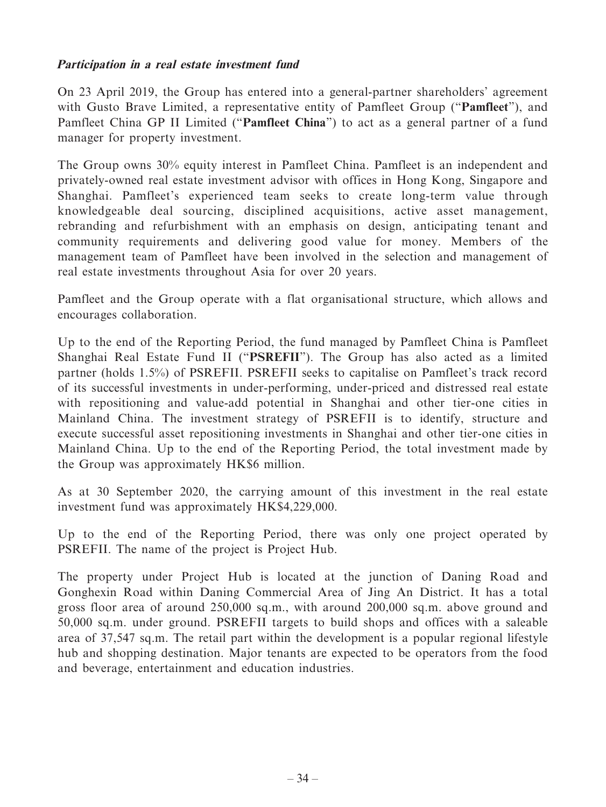# **Participation in a real estate investment fund**

On 23 April 2019, the Group has entered into a general-partner shareholders' agreement with Gusto Brave Limited, a representative entity of Pamfleet Group ("**Pamfleet**"), and Pamfleet China GP II Limited ("**Pamfleet China**") to act as a general partner of a fund manager for property investment.

The Group owns 30% equity interest in Pamfleet China. Pamfleet is an independent and privately-owned real estate investment advisor with offices in Hong Kong, Singapore and Shanghai. Pamfleet's experienced team seeks to create long-term value through knowledgeable deal sourcing, disciplined acquisitions, active asset management, rebranding and refurbishment with an emphasis on design, anticipating tenant and community requirements and delivering good value for money. Members of the management team of Pamfleet have been involved in the selection and management of real estate investments throughout Asia for over 20 years.

Pamfleet and the Group operate with a flat organisational structure, which allows and encourages collaboration.

Up to the end of the Reporting Period, the fund managed by Pamfleet China is Pamfleet Shanghai Real Estate Fund II ("**PSREFII**"). The Group has also acted as a limited partner (holds 1.5%) of PSREFII. PSREFII seeks to capitalise on Pamfleet's track record of its successful investments in under-performing, under-priced and distressed real estate with repositioning and value-add potential in Shanghai and other tier-one cities in Mainland China. The investment strategy of PSREFII is to identify, structure and execute successful asset repositioning investments in Shanghai and other tier-one cities in Mainland China. Up to the end of the Reporting Period, the total investment made by the Group was approximately HK\$6 million.

As at 30 September 2020, the carrying amount of this investment in the real estate investment fund was approximately HK\$4,229,000.

Up to the end of the Reporting Period, there was only one project operated by PSREFII. The name of the project is Project Hub.

The property under Project Hub is located at the junction of Daning Road and Gonghexin Road within Daning Commercial Area of Jing An District. It has a total gross floor area of around 250,000 sq.m., with around 200,000 sq.m. above ground and 50,000 sq.m. under ground. PSREFII targets to build shops and offices with a saleable area of 37,547 sq.m. The retail part within the development is a popular regional lifestyle hub and shopping destination. Major tenants are expected to be operators from the food and beverage, entertainment and education industries.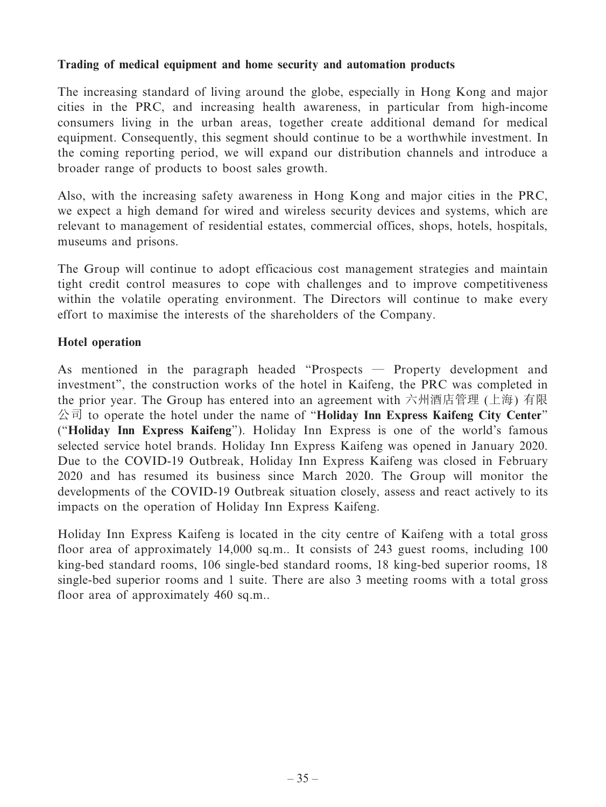# **Trading of medical equipment and home security and automation products**

The increasing standard of living around the globe, especially in Hong Kong and major cities in the PRC, and increasing health awareness, in particular from high-income consumers living in the urban areas, together create additional demand for medical equipment. Consequently, this segment should continue to be a worthwhile investment. In the coming reporting period, we will expand our distribution channels and introduce a broader range of products to boost sales growth.

Also, with the increasing safety awareness in Hong Kong and major cities in the PRC, we expect a high demand for wired and wireless security devices and systems, which are relevant to management of residential estates, commercial offices, shops, hotels, hospitals, museums and prisons.

The Group will continue to adopt efficacious cost management strategies and maintain tight credit control measures to cope with challenges and to improve competitiveness within the volatile operating environment. The Directors will continue to make every effort to maximise the interests of the shareholders of the Company.

# **Hotel operation**

As mentioned in the paragraph headed "Prospects — Property development and investment", the construction works of the hotel in Kaifeng, the PRC was completed in the prior year. The Group has entered into an agreement with 六州酒店管理 (上海) 有限 公司 to operate the hotel under the name of "**Holiday Inn Express Kaifeng City Center**" ("**Holiday Inn Express Kaifeng**"). Holiday Inn Express is one of the world's famous selected service hotel brands. Holiday Inn Express Kaifeng was opened in January 2020. Due to the COVID-19 Outbreak, Holiday Inn Express Kaifeng was closed in February 2020 and has resumed its business since March 2020. The Group will monitor the developments of the COVID-19 Outbreak situation closely, assess and react actively to its impacts on the operation of Holiday Inn Express Kaifeng.

Holiday Inn Express Kaifeng is located in the city centre of Kaifeng with a total gross floor area of approximately 14,000 sq.m.. It consists of 243 guest rooms, including 100 king-bed standard rooms, 106 single-bed standard rooms, 18 king-bed superior rooms, 18 single-bed superior rooms and 1 suite. There are also 3 meeting rooms with a total gross floor area of approximately 460 sq.m..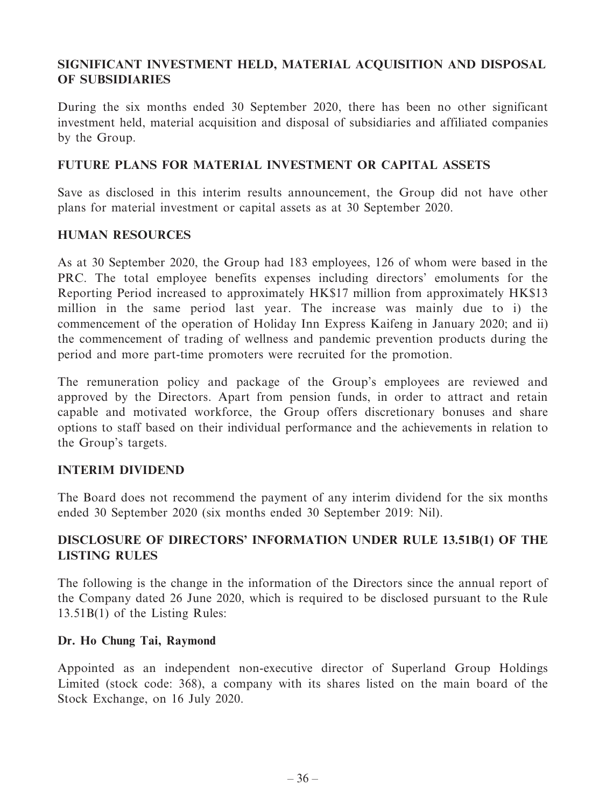# **SIGNIFICANT INVESTMENT HELD, MATERIAL ACQUISITION AND DISPOSAL OF SUBSIDIARIES**

During the six months ended 30 September 2020, there has been no other significant investment held, material acquisition and disposal of subsidiaries and affiliated companies by the Group.

# **FUTURE PLANS FOR MATERIAL INVESTMENT OR CAPITAL ASSETS**

Save as disclosed in this interim results announcement, the Group did not have other plans for material investment or capital assets as at 30 September 2020.

# **HUMAN RESOURCES**

As at 30 September 2020, the Group had 183 employees, 126 of whom were based in the PRC. The total employee benefits expenses including directors' emoluments for the Reporting Period increased to approximately HK\$17 million from approximately HK\$13 million in the same period last year. The increase was mainly due to i) the commencement of the operation of Holiday Inn Express Kaifeng in January 2020; and ii) the commencement of trading of wellness and pandemic prevention products during the period and more part-time promoters were recruited for the promotion.

The remuneration policy and package of the Group's employees are reviewed and approved by the Directors. Apart from pension funds, in order to attract and retain capable and motivated workforce, the Group offers discretionary bonuses and share options to staff based on their individual performance and the achievements in relation to the Group's targets.

# **INTERIM DIVIDEND**

The Board does not recommend the payment of any interim dividend for the six months ended 30 September 2020 (six months ended 30 September 2019: Nil).

# **DISCLOSURE OF DIRECTORS' INFORMATION UNDER RULE 13.51B(1) OF THE LISTING RULES**

The following is the change in the information of the Directors since the annual report of the Company dated 26 June 2020, which is required to be disclosed pursuant to the Rule 13.51B(1) of the Listing Rules:

## **Dr. Ho Chung Tai, Raymond**

Appointed as an independent non-executive director of Superland Group Holdings Limited (stock code: 368), a company with its shares listed on the main board of the Stock Exchange, on 16 July 2020.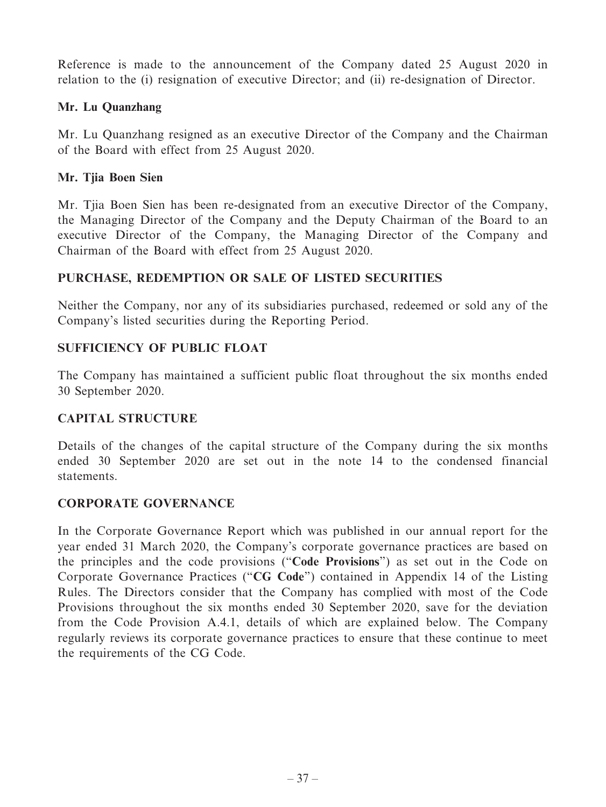Reference is made to the announcement of the Company dated 25 August 2020 in relation to the (i) resignation of executive Director; and (ii) re-designation of Director.

# **Mr. Lu Quanzhang**

Mr. Lu Quanzhang resigned as an executive Director of the Company and the Chairman of the Board with effect from 25 August 2020.

# **Mr. Tjia Boen Sien**

Mr. Tjia Boen Sien has been re-designated from an executive Director of the Company, the Managing Director of the Company and the Deputy Chairman of the Board to an executive Director of the Company, the Managing Director of the Company and Chairman of the Board with effect from 25 August 2020.

# **PURCHASE, REDEMPTION OR SALE OF LISTED SECURITIES**

Neither the Company, nor any of its subsidiaries purchased, redeemed or sold any of the Company's listed securities during the Reporting Period.

# **SUFFICIENCY OF PUBLIC FLOAT**

The Company has maintained a sufficient public float throughout the six months ended 30 September 2020.

# **CAPITAL STRUCTURE**

Details of the changes of the capital structure of the Company during the six months ended 30 September 2020 are set out in the note 14 to the condensed financial statements.

# **CORPORATE GOVERNANCE**

In the Corporate Governance Report which was published in our annual report for the year ended 31 March 2020, the Company's corporate governance practices are based on the principles and the code provisions ("**Code Provisions**") as set out in the Code on Corporate Governance Practices ("**CG Code**") contained in Appendix 14 of the Listing Rules. The Directors consider that the Company has complied with most of the Code Provisions throughout the six months ended 30 September 2020, save for the deviation from the Code Provision A.4.1, details of which are explained below. The Company regularly reviews its corporate governance practices to ensure that these continue to meet the requirements of the CG Code.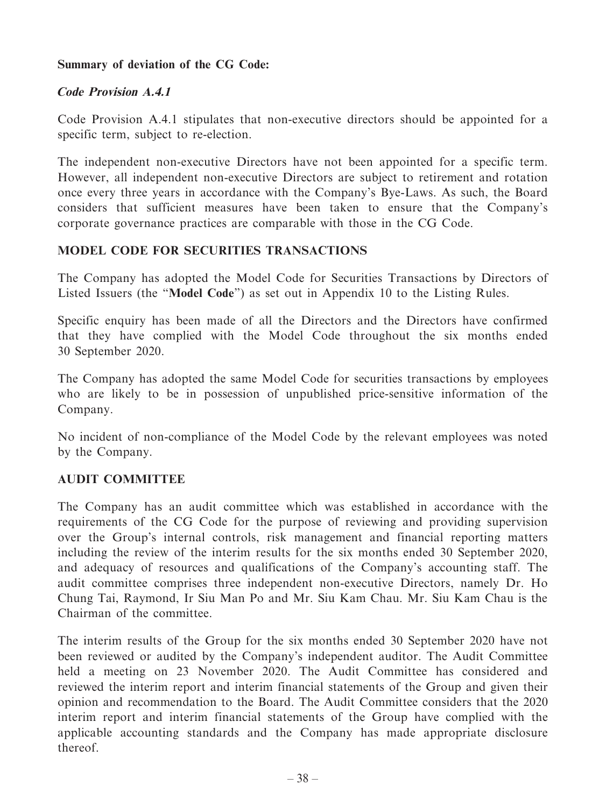# **Summary of deviation of the CG Code:**

# **Code Provision A.4.1**

Code Provision A.4.1 stipulates that non-executive directors should be appointed for a specific term, subject to re-election.

The independent non-executive Directors have not been appointed for a specific term. However, all independent non-executive Directors are subject to retirement and rotation once every three years in accordance with the Company's Bye-Laws. As such, the Board considers that sufficient measures have been taken to ensure that the Company's corporate governance practices are comparable with those in the CG Code.

# **MODEL CODE FOR SECURITIES TRANSACTIONS**

The Company has adopted the Model Code for Securities Transactions by Directors of Listed Issuers (the "**Model Code**") as set out in Appendix 10 to the Listing Rules.

Specific enquiry has been made of all the Directors and the Directors have confirmed that they have complied with the Model Code throughout the six months ended 30 September 2020.

The Company has adopted the same Model Code for securities transactions by employees who are likely to be in possession of unpublished price-sensitive information of the Company.

No incident of non-compliance of the Model Code by the relevant employees was noted by the Company.

# **AUDIT COMMITTEE**

The Company has an audit committee which was established in accordance with the requirements of the CG Code for the purpose of reviewing and providing supervision over the Group's internal controls, risk management and financial reporting matters including the review of the interim results for the six months ended 30 September 2020, and adequacy of resources and qualifications of the Company's accounting staff. The audit committee comprises three independent non-executive Directors, namely Dr. Ho Chung Tai, Raymond, Ir Siu Man Po and Mr. Siu Kam Chau. Mr. Siu Kam Chau is the Chairman of the committee.

The interim results of the Group for the six months ended 30 September 2020 have not been reviewed or audited by the Company's independent auditor. The Audit Committee held a meeting on 23 November 2020. The Audit Committee has considered and reviewed the interim report and interim financial statements of the Group and given their opinion and recommendation to the Board. The Audit Committee considers that the 2020 interim report and interim financial statements of the Group have complied with the applicable accounting standards and the Company has made appropriate disclosure thereof.